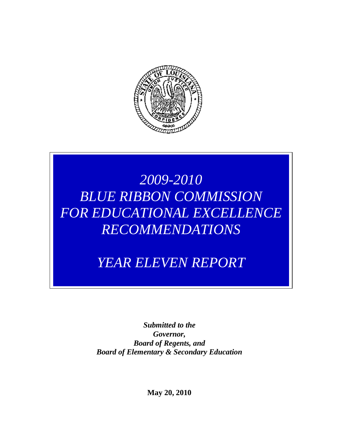

# *2009-2010 BLUE RIBBON COMMISSION FOR EDUCATIONAL EXCELLENCE RECOMMENDATIONS*

# *YEAR ELEVEN REPORT*

*Submitted to the Governor, Board of Regents, and Board of Elementary & Secondary Education*

**May 20, 2010**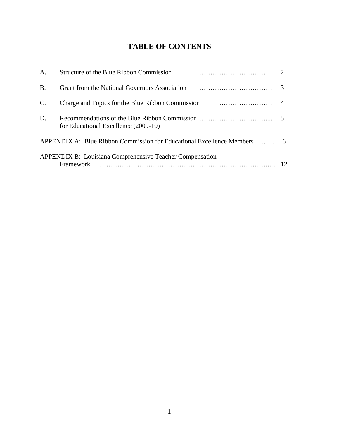# **TABLE OF CONTENTS**

| A.             | Structure of the Blue Ribbon Commission<br>and a construction of the construction of the construction of the construction of the construction of the construction of the construction of the construction of the construction of the construction of the construction of |  |
|----------------|--------------------------------------------------------------------------------------------------------------------------------------------------------------------------------------------------------------------------------------------------------------------------|--|
| B.             | Grant from the National Governors Association (1) matter and the National Governors Association (1) matter and 3                                                                                                                                                         |  |
| $\mathbf{C}$ . | Charge and Topics for the Blue Ribbon Commission 2011 and 2014                                                                                                                                                                                                           |  |
| D.             | for Educational Excellence (2009-10)                                                                                                                                                                                                                                     |  |
|                | APPENDIX A: Blue Ribbon Commission for Educational Excellence Members  6                                                                                                                                                                                                 |  |
|                | <b>APPENDIX B:</b> Louisiana Comprehensive Teacher Compensation<br>Framework                                                                                                                                                                                             |  |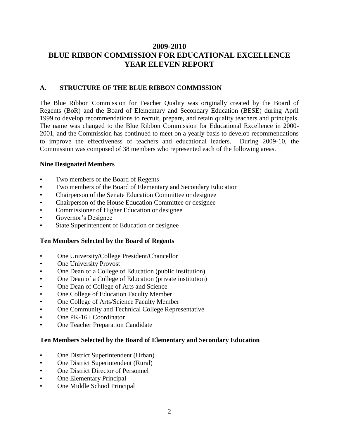## **2009-2010 BLUE RIBBON COMMISSION FOR EDUCATIONAL EXCELLENCE YEAR ELEVEN REPORT**

#### **A. STRUCTURE OF THE BLUE RIBBON COMMISSION**

The Blue Ribbon Commission for Teacher Quality was originally created by the Board of Regents (BoR) and the Board of Elementary and Secondary Education (BESE) during April 1999 to develop recommendations to recruit, prepare, and retain quality teachers and principals. The name was changed to the Blue Ribbon Commission for Educational Excellence in 2000- 2001, and the Commission has continued to meet on a yearly basis to develop recommendations to improve the effectiveness of teachers and educational leaders. During 2009-10, the Commission was composed of 38 members who represented each of the following areas.

#### **Nine Designated Members**

- Two members of the Board of Regents
- Two members of the Board of Elementary and Secondary Education
- Chairperson of the Senate Education Committee or designee
- Chairperson of the House Education Committee or designee
- Commissioner of Higher Education or designee
- Governor's Designee
- State Superintendent of Education or designee

#### **Ten Members Selected by the Board of Regents**

- One University/College President/Chancellor
- **One University Provost**
- One Dean of a College of Education (public institution)
- One Dean of a College of Education (private institution)
- One Dean of College of Arts and Science
- One College of Education Faculty Member
- One College of Arts/Science Faculty Member
- One Community and Technical College Representative
- One PK-16+ Coordinator
- One Teacher Preparation Candidate

#### **Ten Members Selected by the Board of Elementary and Secondary Education**

- One District Superintendent (Urban)
- One District Superintendent (Rural)
- One District Director of Personnel
- One Elementary Principal
- One Middle School Principal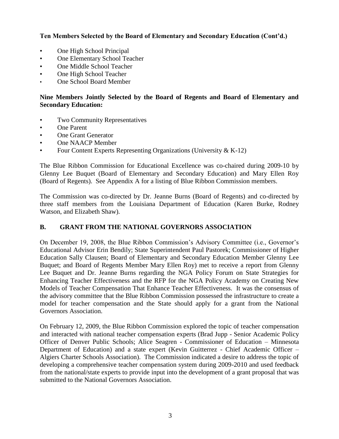**Ten Members Selected by the Board of Elementary and Secondary Education (Cont'd.)**

- One High School Principal
- One Elementary School Teacher
- One Middle School Teacher
- One High School Teacher
- One School Board Member

#### **Nine Members Jointly Selected by the Board of Regents and Board of Elementary and Secondary Education:**

- **Two Community Representatives**
- One Parent
- One Grant Generator
- One NAACP Member
- Four Content Experts Representing Organizations (University & K-12)

The Blue Ribbon Commission for Educational Excellence was co-chaired during 2009-10 by Glenny Lee Buquet (Board of Elementary and Secondary Education) and Mary Ellen Roy (Board of Regents). See Appendix A for a listing of Blue Ribbon Commission members.

The Commission was co-directed by Dr. Jeanne Burns (Board of Regents) and co-directed by three staff members from the Louisiana Department of Education (Karen Burke, Rodney Watson, and Elizabeth Shaw).

## **B. GRANT FROM THE NATIONAL GOVERNORS ASSOCIATION**

On December 19, 2008, the Blue Ribbon Commission's Advisory Committee (i.e., Governor's Educational Advisor Erin Bendily; State Superintendent Paul Pastorek; Commissioner of Higher Education Sally Clausen; Board of Elementary and Secondary Education Member Glenny Lee Buquet; and Board of Regents Member Mary Ellen Roy) met to receive a report from Glenny Lee Buquet and Dr. Jeanne Burns regarding the NGA Policy Forum on State Strategies for Enhancing Teacher Effectiveness and the RFP for the NGA Policy Academy on Creating New Models of Teacher Compensation That Enhance Teacher Effectiveness. It was the consensus of the advisory committee that the Blue Ribbon Commission possessed the infrastructure to create a model for teacher compensation and the State should apply for a grant from the National Governors Association.

On February 12, 2009, the Blue Ribbon Commission explored the topic of teacher compensation and interacted with national teacher compensation experts (Brad Jupp - Senior Academic Policy Officer of Denver Public Schools; Alice Seagren - Commissioner of Education – Minnesota Department of Education) and a state expert (Kevin Guitterrez - Chief Academic Officer – Algiers Charter Schools Association). The Commission indicated a desire to address the topic of developing a comprehensive teacher compensation system during 2009-2010 and used feedback from the national/state experts to provide input into the development of a grant proposal that was submitted to the National Governors Association.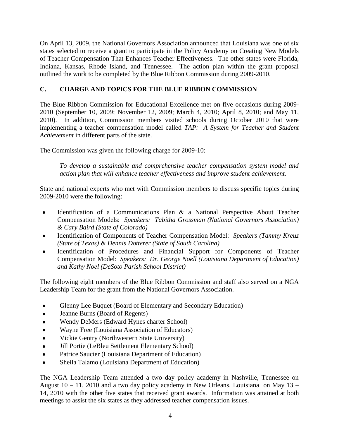On April 13, 2009, the National Governors Association announced that Louisiana was one of six states selected to receive a grant to participate in the Policy Academy on Creating New Models of Teacher Compensation That Enhances Teacher Effectiveness. The other states were Florida, Indiana, Kansas, Rhode Island, and Tennessee. The action plan within the grant proposal outlined the work to be completed by the Blue Ribbon Commission during 2009-2010.

### **C. CHARGE AND TOPICS FOR THE BLUE RIBBON COMMISSION**

The Blue Ribbon Commission for Educational Excellence met on five occasions during 2009- 2010 (September 10, 2009; November 12, 2009; March 4, 2010; April 8, 2010; and May 11, 2010). In addition, Commission members visited schools during October 2010 that were implementing a teacher compensation model called *TAP: A System for Teacher and Student Achievement* in different parts of the state.

The Commission was given the following charge for 2009-10:

*To develop a sustainable and comprehensive teacher compensation system model and action plan that will enhance teacher effectiveness and improve student achievement.*

State and national experts who met with Commission members to discuss specific topics during 2009-2010 were the following:

- Identification of a Communications Plan & a National Perspective About Teacher  $\bullet$ Compensation Models: *Speakers: Tabitha Grossman (National Governors Association) & Cary Baird (State of Colorado)*
- Identification of Components of Teacher Compensation Model: *Speakers (Tammy Kreuz*   $\bullet$ *(State of Texas) & Dennis Dotterer (State of South Carolina)*
- Identification of Procedures and Financial Support for Components of Teacher Compensation Model: *Speakers: Dr. George Noell (Louisiana Department of Education) and Kathy Noel (DeSoto Parish School District)*

The following eight members of the Blue Ribbon Commission and staff also served on a NGA Leadership Team for the grant from the National Governors Association.

- Glenny Lee Buquet (Board of Elementary and Secondary Education)  $\bullet$
- Jeanne Burns (Board of Regents)  $\bullet$
- Wendy DeMers (Edward Hynes charter School)
- Wayne Free (Louisiana Association of Educators)  $\bullet$
- Vickie Gentry (Northwestern State University)
- Jill Portie (LeBleu Settlement Elementary School)
- Patrice Saucier (Louisiana Department of Education)  $\bullet$
- Sheila Talamo (Louisiana Department of Education)

The NGA Leadership Team attended a two day policy academy in Nashville, Tennessee on August  $10 - 11$ , 2010 and a two day policy academy in New Orleans, Louisiana on May  $13 -$ 14, 2010 with the other five states that received grant awards. Information was attained at both meetings to assist the six states as they addressed teacher compensation issues.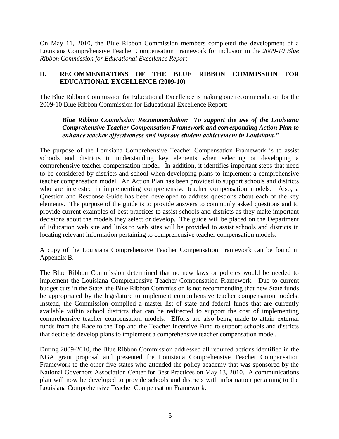On May 11, 2010, the Blue Ribbon Commission members completed the development of a Louisiana Comprehensive Teacher Compensation Framework for inclusion in the *2009-10 Blue Ribbon Commission for Educational Excellence Report*.

#### **D. RECOMMENDATONS OF THE BLUE RIBBON COMMISSION FOR EDUCATIONAL EXCELLENCE (2009-10)**

The Blue Ribbon Commission for Educational Excellence is making one recommendation for the 2009-10 Blue Ribbon Commission for Educational Excellence Report:

#### *Blue Ribbon Commission Recommendation: To support the use of the Louisiana Comprehensive Teacher Compensation Framework and corresponding Action Plan to enhance teacher effectiveness and improve student achievement in Louisiana."*

The purpose of the Louisiana Comprehensive Teacher Compensation Framework is to assist schools and districts in understanding key elements when selecting or developing a comprehensive teacher compensation model. In addition, it identifies important steps that need to be considered by districts and school when developing plans to implement a comprehensive teacher compensation model. An Action Plan has been provided to support schools and districts who are interested in implementing comprehensive teacher compensation models. Also, a Question and Response Guide has been developed to address questions about each of the key elements. The purpose of the guide is to provide answers to commonly asked questions and to provide current examples of best practices to assist schools and districts as they make important decisions about the models they select or develop. The guide will be placed on the Department of Education web site and links to web sites will be provided to assist schools and districts in locating relevant information pertaining to comprehensive teacher compensation models.

A copy of the Louisiana Comprehensive Teacher Compensation Framework can be found in Appendix B.

The Blue Ribbon Commission determined that no new laws or policies would be needed to implement the Louisiana Comprehensive Teacher Compensation Framework. Due to current budget cuts in the State, the Blue Ribbon Commission is not recommending that new State funds be appropriated by the legislature to implement comprehensive teacher compensation models. Instead, the Commission compiled a master list of state and federal funds that are currently available within school districts that can be redirected to support the cost of implementing comprehensive teacher compensation models. Efforts are also being made to attain external funds from the Race to the Top and the Teacher Incentive Fund to support schools and districts that decide to develop plans to implement a comprehensive teacher compensation model.

During 2009-2010, the Blue Ribbon Commission addressed all required actions identified in the NGA grant proposal and presented the Louisiana Comprehensive Teacher Compensation Framework to the other five states who attended the policy academy that was sponsored by the National Governors Association Center for Best Practices on May 13, 2010. A communications plan will now be developed to provide schools and districts with information pertaining to the Louisiana Comprehensive Teacher Compensation Framework.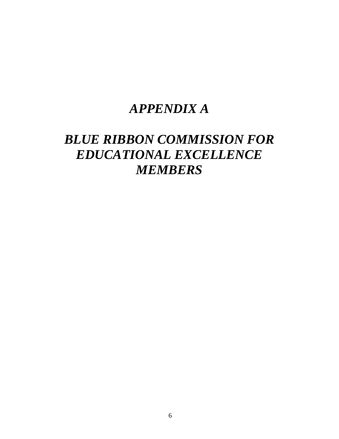# *APPENDIX A*

# *BLUE RIBBON COMMISSION FOR EDUCATIONAL EXCELLENCE MEMBERS*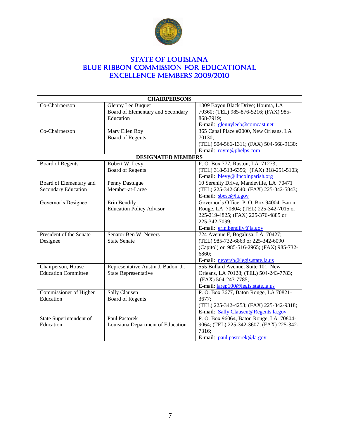

## STATE OF LOUISIANA BLUE RIBBON COMMISSION FOR EDUCATIONAL Excellence Members 2009/2010

| <b>CHAIRPERSONS</b>                              |                                                                     |                                                                                                                                                                            |  |
|--------------------------------------------------|---------------------------------------------------------------------|----------------------------------------------------------------------------------------------------------------------------------------------------------------------------|--|
| Co-Chairperson                                   | Glenny Lee Buquet<br>Board of Elementary and Secondary<br>Education | 1309 Bayou Black Drive; Houma, LA<br>70360; (TEL) 985-876-5216; (FAX) 985-<br>868-7919;<br>E-mail: glennyleeb@comcast.net                                                  |  |
| Co-Chairperson                                   | Mary Ellen Roy<br><b>Board of Regents</b>                           | 365 Canal Place #2000, New Orleans, LA<br>70130;<br>(TEL) 504-566-1311; (FAX) 504-568-9130;<br>E-mail: roym@phelps.com                                                     |  |
|                                                  | <b>DESIGNATED MEMBERS</b>                                           |                                                                                                                                                                            |  |
| <b>Board of Regents</b>                          | Robert W. Levy<br><b>Board of Regents</b>                           | P. O. Box 777, Ruston, LA 71273;<br>(TEL) 318-513-6356; (FAX) 318-251-5103;<br>E-mail: blevy@lincolnparish.org                                                             |  |
| Board of Elementary and<br>Secondary Education   | Penny Dastugue<br>Member-at-Large                                   | 10 Serenity Drive, Mandeville, LA 70471<br>(TEL) 225-342-5840; (FAX) 225-342-5843;<br>E-mail: $\text{gbese} @$ la.gov                                                      |  |
| Governor's Designee                              | Erin Bendily<br><b>Education Policy Advisor</b>                     | Governor's Office; P. O. Box 94004, Baton<br>Rouge, LA 70804; (TEL) 225-342-7015 or<br>225-219-4825; (FAX) 225-376-4885 or<br>225-342-7099;<br>E-mail: erin.bendily@la.gov |  |
| President of the Senate<br>Designee              | Senator Ben W. Nevers<br><b>State Senate</b>                        | 724 Avenue F, Bogalusa, LA 70427;<br>(TEL) 985-732-6863 or 225-342-6090<br>(Capitol) or 985-516-2965; (FAX) 985-732-<br>6860;<br>E-mail: neversb@legis.state.la.us         |  |
| Chairperson, House<br><b>Education Committee</b> | Representative Austin J. Badon, Jr.<br>State Representative         | 555 Bullard Avenue, Suite 101, New<br>Orleans, LA 70128; (TEL) 504-243-7783;<br>(FAX) 504-243-7785;<br>E-mail: larep100@legis.state.la.us                                  |  |
| <b>Commissioner of Higher</b><br>Education       | <b>Sally Clausen</b><br><b>Board of Regents</b>                     | P. O. Box 3677, Baton Rouge, LA 70821-<br>3677;<br>(TEL) 225-342-4253; (FAX) 225-342-9318;<br>E-mail: Sally.Clausen@Regents.la.gov                                         |  |
| State Superintendent of<br>Education             | <b>Paul Pastorek</b><br>Louisiana Department of Education           | P. O. Box 96064, Baton Rouge, LA 70804-<br>9064; (TEL) 225-342-3607; (FAX) 225-342-<br>7316;<br>E-mail: paul.pastorek@la.gov                                               |  |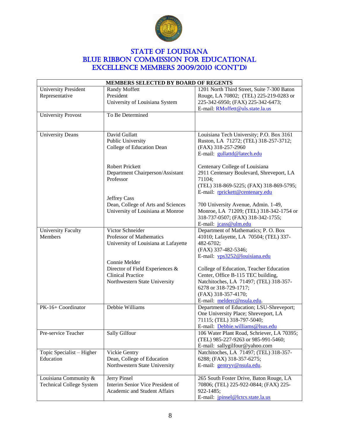

## **STATE OF LOUISIANA** BLUE RIBBON COMMISSION FOR EDUCATIONAL Excellence Members 2009/2010 (CONT'D)

| MEMBERS SELECTED BY BOARD OF REGENTS                     |                                                                                                               |                                                                                                                                                                                                       |  |
|----------------------------------------------------------|---------------------------------------------------------------------------------------------------------------|-------------------------------------------------------------------------------------------------------------------------------------------------------------------------------------------------------|--|
| <b>University President</b><br>Representative            | <b>Randy Moffett</b><br>President<br>University of Louisiana System                                           | 1201 North Third Street, Suite 7-300 Baton<br>Rouge, LA 70802; (TEL) 225-219-0283 or<br>225-342-6950; (FAX) 225-342-6473;<br>E-mail: RMoffett@uls.state.la.us                                         |  |
| <b>University Provost</b>                                | To Be Determined                                                                                              |                                                                                                                                                                                                       |  |
| <b>University Deans</b>                                  | David Gullatt<br>Public University<br>College of Education Dean                                               | Louisiana Tech University; P.O. Box 3161<br>Ruston, LA 71272; (TEL) 318-257-3712;<br>(FAX) 318-257-2960<br>E-mail: gullattd@latech.edu                                                                |  |
|                                                          | <b>Robert Prickett</b><br>Department Chairperson/Assistant<br>Professor                                       | Centenary College of Louisiana<br>2911 Centenary Boulevard, Shreveport, LA<br>71104;<br>(TEL) 318-869-5225; (FAX) 318-869-5795;<br>E-mail: rprickett@centenary.edu                                    |  |
|                                                          | Jeffrey Cass<br>Dean, College of Arts and Sciences<br>University of Louisiana at Monroe                       | 700 University Avenue, Admin. 1-49,<br>Monroe, LA 71209; (TEL) 318-342-1754 or<br>318-737-0507; (FAX) 318-342-1755;<br>E-mail: jcass@ulm.edu                                                          |  |
| <b>University Faculty</b><br>Members                     | Victor Schneider<br><b>Professor of Mathematics</b><br>University of Louisiana at Lafayette                   | Department of Mathematics; P. O. Box<br>41010; Lafayette, LA 70504; (TEL) 337-<br>482-6702;<br>(FAX) 337-482-5346;<br>E-mail: vps3252@louisiana.edu                                                   |  |
|                                                          | Connie Melder<br>Director of Field Experiences &<br><b>Clinical Practice</b><br>Northwestern State University | College of Education, Teacher Education<br>Center, Office B-115 TEC building,<br>Natchitoches, LA 71497; (TEL) 318-357-<br>6278 or 318-729-1717;<br>(FAX) 318-357-4170;<br>E-mail: melderc@nsula.edu. |  |
| PK-16+ Coordinator                                       | Debbie Williams                                                                                               | Department of Education; LSU-Shreveport;<br>One University Place; Shreveport, LA<br>71115; (TEL) 318-797-5040;<br>E-mail: Debbie.williams@lsus.edu                                                    |  |
| Pre-service Teacher                                      | Sally Gilfour                                                                                                 | 106 Water Plant Road, Schriever, LA 70395;<br>(TEL) 985-227-9263 or 985-991-5460;<br>E-mail: sallygilfour@yahoo.com                                                                                   |  |
| Topic Specialist - Higher<br>Education                   | Vickie Gentry<br>Dean, College of Education<br>Northwestern State University                                  | Natchitoches, LA 71497; (TEL) 318-357-<br>6288; (FAX) 318-357-6275;<br>E-mail: gentryv@nsula.edu.                                                                                                     |  |
| Louisiana Community &<br><b>Technical College System</b> | Jerry Pinsel<br>Interim Senior Vice President of<br>Academic and Student Affairs                              | 265 South Foster Drive, Baton Rouge, LA<br>70806; (TEL) 225-922-0844; (FAX) 225-<br>922-1485;<br>E-mail: jpinsel@lctcs.state.la.us                                                                    |  |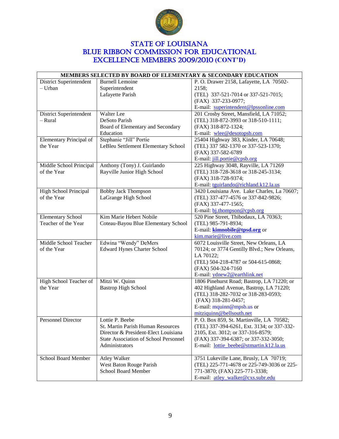

## STATE OF LOUISIANA BLUE RIBBON COMMISSION FOR EDUCATIONAL Excellence Members 2009/2010 **(CONT'D)**

| MEMBERS SELECTED BY BOARD OF ELEMENTARY & SECONDARY EDUCATION |                                              |                                             |  |
|---------------------------------------------------------------|----------------------------------------------|---------------------------------------------|--|
| District Superintendent                                       | <b>Burnell Lemoine</b>                       | P. O. Drawer 2158, Lafayette, LA 70502-     |  |
| - Urban                                                       | Superintendent                               | 2158;                                       |  |
|                                                               | Lafayette Parish                             | (TEL) 337-521-7014 or 337-521-7015;         |  |
|                                                               |                                              | (FAX) 337-233-0977;                         |  |
|                                                               |                                              | E-mail: superintendent@lpssonline.com       |  |
| District Superintendent                                       | Walter Lee                                   | 201 Crosby Street, Mansfield, LA 71052;     |  |
| - Rural                                                       | DeSoto Parish                                | (TEL) 318-872-3993 or 318-510-1111;         |  |
|                                                               | Board of Elementary and Secondary            | (FAX) 318-872-1324;                         |  |
|                                                               | Education                                    | E-mail: wlee@desotopsb.com                  |  |
| Elementary Principal of                                       | Stephanie "Jill" Portie                      | 25404 Highway 383, Kinder, LA 70648;        |  |
| the Year                                                      | LeBleu Settlement Elementary School          | (TEL) 337 582-1370 or 337-523-1370;         |  |
|                                                               |                                              | (FAX) 337-582-6789                          |  |
|                                                               |                                              | E-mail: jill.portie@cpsb.org                |  |
| Middle School Principal                                       | Anthony (Tony) J. Guirlando                  | 225 Highway 3048, Rayville, LA 71269        |  |
| of the Year                                                   | Rayville Junior High School                  | (TEL) 318-728-3618 or 318-245-3134;         |  |
|                                                               |                                              | (FAX) 318-728-9374;                         |  |
|                                                               |                                              | E-mail: tguirlando@richland.k12.la.us       |  |
| High School Principal                                         | <b>Bobby Jack Thompson</b>                   | 3420 Louisiana Ave. Lake Charles, La 70607; |  |
| of the Year                                                   | LaGrange High School                         | (TEL) 337-477-4576 or 337-842-9826;         |  |
|                                                               |                                              | (FAX) 337-477-1565;                         |  |
|                                                               |                                              | E-mail: bj.thompson@cpsb.org                |  |
| <b>Elementary School</b>                                      | Kim Marie Hebert Nobile                      | 520 Pine Street, Thibodaux, LA 70363;       |  |
| Teacher of the Year                                           | Coteau-Bayou Blue Elementary School          | (TEL) 985-791-8934;                         |  |
|                                                               |                                              | E-mail: <b>kimnobile@tpsd.org</b> or        |  |
|                                                               |                                              | kim.marie@live.com                          |  |
| Middle School Teacher                                         | Edwina "Wendy" DeMers                        | 6072 Louisville Street, New Orleans, LA     |  |
| of the Year                                                   | <b>Edward Hynes Charter School</b>           | 70124; or 3774 Gentilly Blvd.; New Orleans, |  |
|                                                               |                                              | LA 70122;                                   |  |
|                                                               |                                              | (TEL) 504-218-4787 or 504-615-0868;         |  |
|                                                               |                                              | (FAX) 504-324-7160                          |  |
|                                                               |                                              | E-mail: ydnew2@earthlink.net                |  |
| High School Teacher of                                        | Mitzi W. Quinn                               | 1806 Pinehurst Road; Bastrop, LA 71220; or  |  |
| the Year                                                      | <b>Bastrop High School</b>                   | 402 Highland Avenue, Bastrop, LA 71220;     |  |
|                                                               |                                              | (TEL) 318-282-7032 or 318-283-0593;         |  |
|                                                               |                                              | (FAX) 318-281-0457;                         |  |
|                                                               |                                              | E-mail: $mquinn@mpsb.us$ or                 |  |
|                                                               |                                              | mitziquinn@bellsouth.net                    |  |
| Personnel Director                                            | Lottie P. Beebe                              | P. O. Box 859, St. Martinville, LA 70582;   |  |
|                                                               | St. Martin Parish Human Resources            | (TEL) 337-394-6261, Ext. 3134; or 337-332-  |  |
|                                                               | Director & President-Elect Louisiana         | 2105, Ext. 3012; or 337-316-8579;           |  |
|                                                               | <b>State Association of School Personnel</b> | (FAX) 337-394-6387; or 337-332-3050;        |  |
|                                                               | Administrators                               | E-mail: lottie_beebe@stmartin.k12.la.us     |  |
|                                                               |                                              |                                             |  |
| <b>School Board Member</b>                                    | <b>Atley Walker</b>                          | 3751 Lukeville Lane, Brusly, LA 70719;      |  |
|                                                               | West Baton Rouge Parish                      | (TEL) 225-771-4678 or 225-749-3036 or 225-  |  |
|                                                               | School Board Member                          | 771-3870; (FAX) 225-771-3338;               |  |
|                                                               |                                              | E-mail: atley_walker@cxs.subr.edu           |  |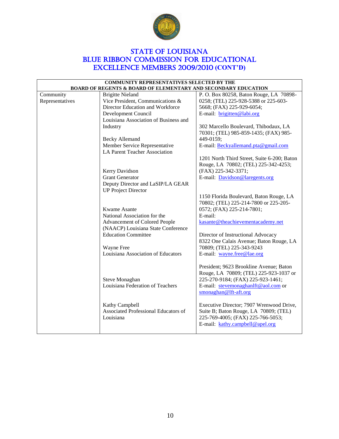

## **STATE OF LOUISIANA** BLUE RIBBON COMMISSION FOR EDUCATIONAL Excellence Members 2009/2010 **(CONT'D)**

| <b>COMMUNITY REPRESENTATIVES SELECTED BY THE</b><br><b>BOARD OF REGENTS &amp; BOARD OF ELEMENTARY AND SECONDARY EDUCATION</b> |                                                                  |                                              |  |
|-------------------------------------------------------------------------------------------------------------------------------|------------------------------------------------------------------|----------------------------------------------|--|
| Community                                                                                                                     | <b>Brigitte Nieland</b>                                          | P. O. Box 80258, Baton Rouge, LA 70898-      |  |
| Representatives                                                                                                               | Vice President, Communications &                                 | 0258; (TEL) 225-928-5388 or 225-603-         |  |
|                                                                                                                               | Director Education and Workforce                                 | 5668; (FAX) 225-929-6054;                    |  |
|                                                                                                                               | Development Council                                              | E-mail: brigitten@labi.org                   |  |
|                                                                                                                               | Louisiana Association of Business and                            |                                              |  |
|                                                                                                                               | Industry                                                         | 302 Marcello Boulevard, Thibodaux, LA        |  |
|                                                                                                                               |                                                                  | 70301; (TEL) 985-859-1435; (FAX) 985-        |  |
|                                                                                                                               | <b>Becky Allemand</b>                                            | 449-0159;                                    |  |
|                                                                                                                               | Member Service Representative                                    | E-mail: Beckyallemand.pta@gmail.com          |  |
|                                                                                                                               | <b>LA Parent Teacher Association</b>                             |                                              |  |
|                                                                                                                               |                                                                  | 1201 North Third Street, Suite 6-200; Baton  |  |
|                                                                                                                               |                                                                  | Rouge, LA 70802; (TEL) 225-342-4253;         |  |
|                                                                                                                               | Kerry Davidson                                                   | (FAX) 225-342-3371;                          |  |
|                                                                                                                               | <b>Grant Generator</b>                                           | E-mail: Davidson@laregents.org               |  |
|                                                                                                                               | Deputy Director and LaSIP/LA GEAR                                |                                              |  |
|                                                                                                                               | <b>UP Project Director</b>                                       |                                              |  |
|                                                                                                                               |                                                                  | 1150 Florida Boulevard, Baton Rouge, LA      |  |
|                                                                                                                               |                                                                  | 70802; (TEL) 225-214-7800 or 225-205-        |  |
|                                                                                                                               | Kwame Asante                                                     | 0572; (FAX) 225-214-7801;                    |  |
|                                                                                                                               | National Association for the                                     | E-mail:<br>kasante@theachievementacademy.net |  |
|                                                                                                                               | Advancement of Colored People                                    |                                              |  |
|                                                                                                                               | (NAACP) Louisiana State Conference<br><b>Education Committee</b> | Director of Instructional Advocacy           |  |
|                                                                                                                               |                                                                  | 8322 One Calais Avenue; Baton Rouge, LA      |  |
|                                                                                                                               | Wayne Free                                                       | 70809; (TEL) 225-343-9243                    |  |
|                                                                                                                               | Louisiana Association of Educators                               | E-mail: wayne.free@lae.org                   |  |
|                                                                                                                               |                                                                  |                                              |  |
|                                                                                                                               |                                                                  | President; 9623 Brookline Avenue; Baton      |  |
|                                                                                                                               |                                                                  | Rouge, LA 70809; (TEL) 225-923-1037 or       |  |
|                                                                                                                               | Steve Monaghan                                                   | 225-270-9184; (FAX) 225-923-1461;            |  |
|                                                                                                                               | Louisiana Federation of Teachers                                 | E-mail: stevemonaghanlft@aol.com or          |  |
|                                                                                                                               |                                                                  | smonaghan@lft-aft.org                        |  |
|                                                                                                                               | Kathy Campbell                                                   | Executive Director; 7907 Wrenwood Drive,     |  |
|                                                                                                                               | Associated Professional Educators of                             | Suite B; Baton Rouge, LA 70809; (TEL)        |  |
|                                                                                                                               | Louisiana                                                        | 225-769-4005; (FAX) 225-766-5053;            |  |
|                                                                                                                               |                                                                  | E-mail: kathy.campbell@apel.org              |  |
|                                                                                                                               |                                                                  |                                              |  |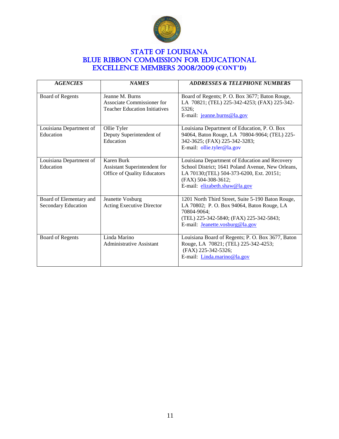

## **STATE OF LOUISIANA** BLUE RIBBON COMMISSION FOR EDUCATIONAL Excellence Members 2008/2009 **(CONT'D)**

| <b>AGENCIES</b>                                       | <b>NAMES</b>                                                                          | <b>ADDRESSES &amp; TELEPHONE NUMBERS</b>                                                                                                                                                                 |
|-------------------------------------------------------|---------------------------------------------------------------------------------------|----------------------------------------------------------------------------------------------------------------------------------------------------------------------------------------------------------|
| Board of Regents                                      | Jeanne M. Burns<br>Associate Commissioner for<br><b>Teacher Education Initiatives</b> | Board of Regents; P. O. Box 3677; Baton Rouge,<br>LA 70821; (TEL) 225-342-4253; (FAX) 225-342-<br>5326:<br>E-mail: jeanne.burns@la.gov                                                                   |
| Louisiana Department of<br>Education                  | Ollie Tyler<br>Deputy Superintendent of<br>Education                                  | Louisiana Department of Education, P. O. Box<br>94064, Baton Rouge, LA 70804-9064; (TEL) 225-<br>342-3625; (FAX) 225-342-3283;<br>E-mail: ollie.tyler@la.gov                                             |
| Louisiana Department of<br>Education                  | Karen Burk<br>Assistant Superintendent for<br>Office of Quality Educators             | Louisiana Department of Education and Recovery<br>School District; 1641 Poland Avenue, New Orleans,<br>LA 70130; (TEL) 504-373-6200, Ext. 20151;<br>(FAX) 504-308-3612;<br>E-mail: elizabeth.shaw@la.gov |
| Board of Elementary and<br><b>Secondary Education</b> | Jeanette Vosburg<br>Acting Executive Director                                         | 1201 North Third Street, Suite 5-190 Baton Rouge,<br>LA 70802; P. O. Box 94064, Baton Rouge, LA<br>70804-9064:<br>(TEL) 225-342-5840; (FAX) 225-342-5843;<br>E-mail: Jeanette.vosburg@la.gov             |
| Board of Regents                                      | Linda Marino<br>Administrative Assistant                                              | Louisiana Board of Regents; P. O. Box 3677, Baton<br>Rouge, LA 70821; (TEL) 225-342-4253;<br>(FAX) 225-342-5326;<br>E-mail: Linda.marino@la.gov                                                          |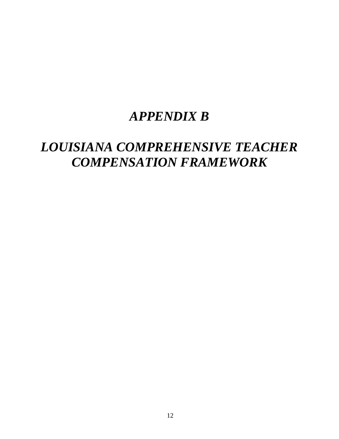# *APPENDIX B*

# *LOUISIANA COMPREHENSIVE TEACHER COMPENSATION FRAMEWORK*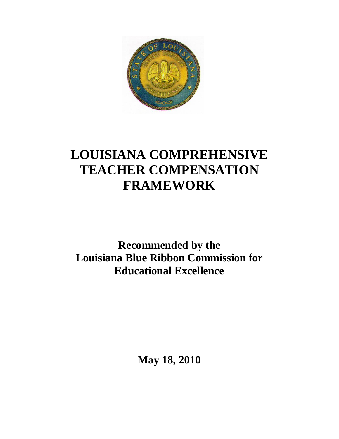

# **LOUISIANA COMPREHENSIVE TEACHER COMPENSATION FRAMEWORK**

**Recommended by the Louisiana Blue Ribbon Commission for Educational Excellence**

**May 18, 2010**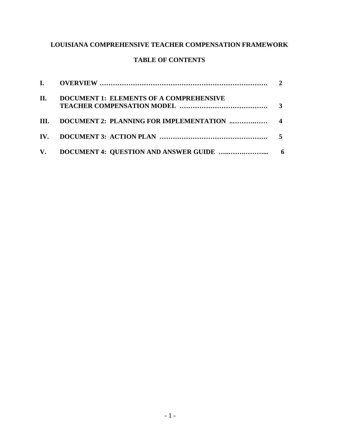## **LOUISIANA COMPREHENSIVE TEACHER COMPENSATION FRAMEWORK**

## **TABLE OF CONTENTS**

| П. | <b>DOCUMENT 1: ELEMENTS OF A COMPREHENSIVE</b> |  |
|----|------------------------------------------------|--|
|    |                                                |  |
|    |                                                |  |
|    |                                                |  |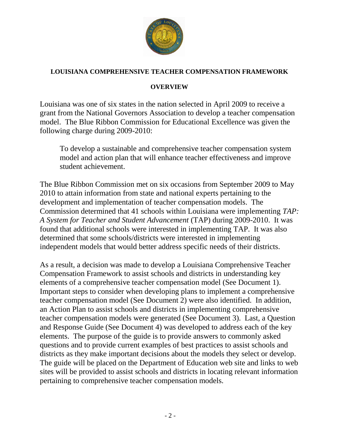

## **LOUISIANA COMPREHENSIVE TEACHER COMPENSATION FRAMEWORK**

## **OVERVIEW**

Louisiana was one of six states in the nation selected in April 2009 to receive a grant from the National Governors Association to develop a teacher compensation model. The Blue Ribbon Commission for Educational Excellence was given the following charge during 2009-2010:

To develop a sustainable and comprehensive teacher compensation system model and action plan that will enhance teacher effectiveness and improve student achievement.

The Blue Ribbon Commission met on six occasions from September 2009 to May 2010 to attain information from state and national experts pertaining to the development and implementation of teacher compensation models. The Commission determined that 41 schools within Louisiana were implementing *TAP: A System for Teacher and Student Advancement* (TAP) during 2009-2010. It was found that additional schools were interested in implementing TAP. It was also determined that some schools/districts were interested in implementing independent models that would better address specific needs of their districts.

As a result, a decision was made to develop a Louisiana Comprehensive Teacher Compensation Framework to assist schools and districts in understanding key elements of a comprehensive teacher compensation model (See Document 1). Important steps to consider when developing plans to implement a comprehensive teacher compensation model (See Document 2) were also identified. In addition, an Action Plan to assist schools and districts in implementing comprehensive teacher compensation models were generated (See Document 3). Last, a Question and Response Guide (See Document 4) was developed to address each of the key elements. The purpose of the guide is to provide answers to commonly asked questions and to provide current examples of best practices to assist schools and districts as they make important decisions about the models they select or develop. The guide will be placed on the Department of Education web site and links to web sites will be provided to assist schools and districts in locating relevant information pertaining to comprehensive teacher compensation models.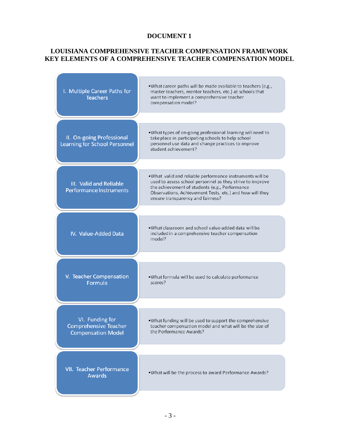#### **LOUISIANA COMPREHENSIVE TEACHER COMPENSATION FRAMEWORK KEY ELEMENTS OF A COMPREHENSIVE TEACHER COMPENSATION MODEL**

| I. Multiple Career Paths for<br><b>Teachers</b>                              | .What career paths will be made available to teachers (e.g.,<br>master teachers, mentor teachers, etc.) at schools that<br>want to implement a comprehensive teacher<br>compensation model?                                                                              |
|------------------------------------------------------------------------------|--------------------------------------------------------------------------------------------------------------------------------------------------------------------------------------------------------------------------------------------------------------------------|
|                                                                              |                                                                                                                                                                                                                                                                          |
| II. On-going Professional<br><b>Learning for School Personnel</b>            | .What types of on-going professional learning will need to<br>take place in participating schools to help school<br>personnel use data and change practices to improve<br>student achievement?                                                                           |
|                                                                              |                                                                                                                                                                                                                                                                          |
| III. Valid and Reliable<br><b>Performance Instruments</b>                    | .What valid and reliable performance instruments will be<br>used to assess school personnel as they strive to improve<br>the achievement of students (e.g., Performance<br>Observations, Achievement Tests, etc.) and how will they<br>ensure transparency and fairness? |
|                                                                              |                                                                                                                                                                                                                                                                          |
| IV. Value-Added Data                                                         | .What classroom and school value-added data will be<br>included in a comprehensive teacher compensation<br>model?                                                                                                                                                        |
|                                                                              |                                                                                                                                                                                                                                                                          |
| V. Teacher Compensation<br>Formula                                           | .What formula will be used to calculate performance<br>scores?                                                                                                                                                                                                           |
|                                                                              |                                                                                                                                                                                                                                                                          |
| VI. Funding for<br><b>Comprehensive Teacher</b><br><b>Compensation Model</b> | .What funding will be used to support the comprehensive<br>teacher compensation model and what will be the size of<br>the Performance Awards?                                                                                                                            |
|                                                                              |                                                                                                                                                                                                                                                                          |
| VII. Teacher Performance<br><b>Awards</b>                                    | .What will be the process to award Performance Awards?                                                                                                                                                                                                                   |
|                                                                              |                                                                                                                                                                                                                                                                          |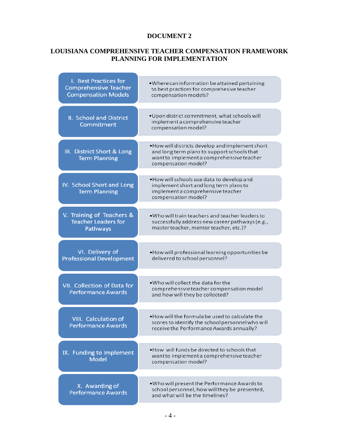#### **LOUISIANA COMPREHENSIVE TEACHER COMPENSATION FRAMEWORK PLANNING FOR IMPLEMENTATION**

| I. Best Practices for<br><b>Comprehensive Teacher</b><br><b>Compensation Models</b> | . Where can information be attained pertaining<br>to best practices for comprehesive teacher<br>compensation models?                                                |
|-------------------------------------------------------------------------------------|---------------------------------------------------------------------------------------------------------------------------------------------------------------------|
| II. School and District<br>Commitment                                               | . Upon district commitment, what schools will<br>implement a comprehensive teacher<br>compensation model?                                                           |
| III. District Short & Long<br><b>Term Planning</b>                                  | . How will districts develop and implement short<br>and long term plans to support schools that<br>want to implement a comprehensive teacher<br>compensation model? |
| IV. School Short and Long<br><b>Term Planning</b>                                   | . How will schools use data to develop and<br>implement short and long term plans to<br>implement a comprehensive teacher<br>compensation model?                    |
| V. Training of Teachers &<br><b>Teacher Leaders for</b><br>Pathways                 | • Who will train teachers and teacher leaders to<br>successfully address new career pathways (e.g.,<br>master teacher, mentor teacher, etc.)?                       |
| VI. Delivery of<br><b>Professional Development</b>                                  | . How will professional learning opportunities be<br>delivered to school personnel?                                                                                 |
| VII. Collection of Data for<br><b>Performance Awards</b>                            | . Who will collect the data for the<br>comprehensvie teacher compensation model<br>and how will they be collected?                                                  |
| <b>VIII.</b> Calculation of<br><b>Performance Awards</b>                            | . How will the formula be used to calculate the<br>scores to identify the school personnel who will<br>receive the Performance Awards annually?                     |
| IX. Funding to Implement<br><b>Model</b>                                            | • How will funds be directed to schools that<br>want to implement a comprehensive teacher<br>compensation model?                                                    |
| X. Awarding of<br><b>Performance Awards</b>                                         | . Who will present the Performance Awards to<br>school personnel, how will they be presented,<br>and what will be the timelines?                                    |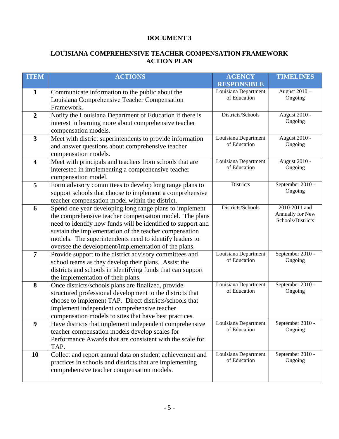### **LOUISIANA COMPREHENSIVE TEACHER COMPENSATION FRAMEWORK ACTION PLAN**

| <b>ITEM</b>             | <b>ACTIONS</b>                                                                                                      | <b>AGENCY</b><br><b>RESPONSIBLE</b>  | <b>TIMELINES</b>            |
|-------------------------|---------------------------------------------------------------------------------------------------------------------|--------------------------------------|-----------------------------|
| $\mathbf{1}$            | Communicate information to the public about the                                                                     | Louisiana Department                 | August 2010 -               |
|                         | Louisiana Comprehensive Teacher Compensation                                                                        | of Education                         | Ongoing                     |
|                         | Framework.                                                                                                          |                                      |                             |
| $\overline{2}$          | Notify the Louisiana Department of Education if there is                                                            | Districts/Schools                    | August 2010 -               |
|                         | interest in learning more about comprehensive teacher                                                               |                                      | Ongoing                     |
|                         | compensation models.                                                                                                |                                      |                             |
| $\overline{\mathbf{3}}$ | Meet with district superintendents to provide information                                                           | Louisiana Department                 | August 2010 -               |
|                         | and answer questions about comprehensive teacher                                                                    | of Education                         | Ongoing                     |
|                         | compensation models.                                                                                                |                                      |                             |
| $\overline{\mathbf{4}}$ | Meet with principals and teachers from schools that are                                                             | Louisiana Department<br>of Education | August 2010 -<br>Ongoing    |
|                         | interested in implementing a comprehensive teacher                                                                  |                                      |                             |
| 5                       | compensation model.                                                                                                 | <b>Districts</b>                     | September 2010 -            |
|                         | Form advisory committees to develop long range plans to<br>support schools that choose to implement a comprehensive |                                      | Ongoing                     |
|                         | teacher compensation model within the district.                                                                     |                                      |                             |
| 6                       | Spend one year developing long range plans to implement                                                             | Districts/Schools                    | 2010-2011 and               |
|                         | the comprehensive teacher compensation model. The plans                                                             |                                      | Annually for New            |
|                         | need to identify how funds will be identified to support and                                                        |                                      | Schools/Districts           |
|                         | sustain the implementation of the teacher compensation                                                              |                                      |                             |
|                         | models. The superintendents need to identify leaders to                                                             |                                      |                             |
|                         | oversee the development/implementation of the plans.                                                                |                                      |                             |
| $\overline{7}$          | Provide support to the district advisory committees and                                                             | Louisiana Department                 | September 2010 -            |
|                         | school teams as they develop their plans. Assist the                                                                | of Education                         | Ongoing                     |
|                         | districts and schools in identifying funds that can support                                                         |                                      |                             |
|                         | the implementation of their plans.                                                                                  |                                      |                             |
| 8                       | Once districts/schools plans are finalized, provide                                                                 | Louisiana Department<br>of Education | September 2010 -<br>Ongoing |
|                         | structured professional development to the districts that<br>choose to implement TAP. Direct districts/schools that |                                      |                             |
|                         | implement independent comprehensive teacher                                                                         |                                      |                             |
|                         | compensation models to sites that have best practices.                                                              |                                      |                             |
| 9                       | Have districts that implement independent comprehensive                                                             | Louisiana Department                 | September 2010 -            |
|                         | teacher compensation models develop scales for                                                                      | of Education                         | Ongoing                     |
|                         | Performance Awards that are consistent with the scale for                                                           |                                      |                             |
|                         | TAP.                                                                                                                |                                      |                             |
| <b>10</b>               | Collect and report annual data on student achievement and                                                           | Louisiana Department                 | September 2010 -            |
|                         | practices in schools and districts that are implementing                                                            | of Education                         | Ongoing                     |
|                         | comprehensive teacher compensation models.                                                                          |                                      |                             |
|                         |                                                                                                                     |                                      |                             |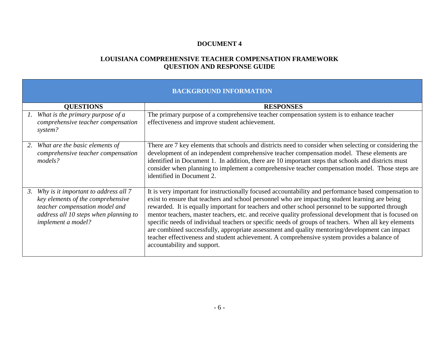#### **LOUISIANA COMPREHENSIVE TEACHER COMPENSATION FRAMEWORK QUESTION AND RESPONSE GUIDE**

## **BACKGROUND INFORMATION**

|    | <b>QUESTIONS</b>                                                                                                                                                                  | <b>RESPONSES</b>                                                                                                                                                                                                                                                                                                                                                                                                                                                                                                                                                                                                                                                                                                                                                |
|----|-----------------------------------------------------------------------------------------------------------------------------------------------------------------------------------|-----------------------------------------------------------------------------------------------------------------------------------------------------------------------------------------------------------------------------------------------------------------------------------------------------------------------------------------------------------------------------------------------------------------------------------------------------------------------------------------------------------------------------------------------------------------------------------------------------------------------------------------------------------------------------------------------------------------------------------------------------------------|
|    | What is the primary purpose of a<br>comprehensive teacher compensation<br>system?                                                                                                 | The primary purpose of a comprehensive teacher compensation system is to enhance teacher<br>effectiveness and improve student achievement.                                                                                                                                                                                                                                                                                                                                                                                                                                                                                                                                                                                                                      |
| 2. | What are the basic elements of<br>comprehensive teacher compensation<br>models?                                                                                                   | There are 7 key elements that schools and districts need to consider when selecting or considering the<br>development of an independent comprehensive teacher compensation model. These elements are<br>identified in Document 1. In addition, there are 10 important steps that schools and districts must<br>consider when planning to implement a comprehensive teacher compensation model. Those steps are<br>identified in Document 2.                                                                                                                                                                                                                                                                                                                     |
| 3. | Why is it important to address all 7<br>key elements of the comprehensive<br>teacher compensation model and<br>address all 10 steps when planning to<br><i>implement a model?</i> | It is very important for instructionally focused accountability and performance based compensation to<br>exist to ensure that teachers and school personnel who are impacting student learning are being<br>rewarded. It is equally important for teachers and other school personnel to be supported through<br>mentor teachers, master teachers, etc. and receive quality professional development that is focused on<br>specific needs of individual teachers or specific needs of groups of teachers. When all key elements<br>are combined successfully, appropriate assessment and quality mentoring/development can impact<br>teacher effectiveness and student achievement. A comprehensive system provides a balance of<br>accountability and support. |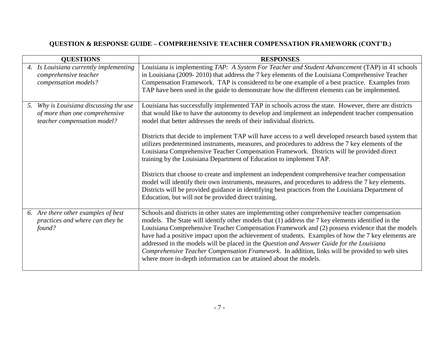| <b>QUESTIONS</b>                                                                                           | <b>RESPONSES</b>                                                                                                                                                                                                                                                                                                                                                                                                                                                                                                                                                                                                                                                                                                                                                                                                                                                                                                                                                                    |
|------------------------------------------------------------------------------------------------------------|-------------------------------------------------------------------------------------------------------------------------------------------------------------------------------------------------------------------------------------------------------------------------------------------------------------------------------------------------------------------------------------------------------------------------------------------------------------------------------------------------------------------------------------------------------------------------------------------------------------------------------------------------------------------------------------------------------------------------------------------------------------------------------------------------------------------------------------------------------------------------------------------------------------------------------------------------------------------------------------|
| 4. Is Louisiana currently implementing<br>comprehensive teacher<br>compensation models?                    | Louisiana is implementing TAP: A System For Teacher and Student Advancement (TAP) in 41 schools<br>in Louisiana (2009-2010) that address the 7 key elements of the Louisiana Comprehensive Teacher<br>Compensation Framework. TAP is considered to be one example of a best practice. Examples from<br>TAP have been used in the guide to demonstrate how the different elements can be implemented.                                                                                                                                                                                                                                                                                                                                                                                                                                                                                                                                                                                |
| Why is Louisiana discussing the use<br>5.<br>of more than one comprehensive<br>teacher compensation model? | Louisiana has successfully implemented TAP in schools across the state. However, there are districts<br>that would like to have the autonomy to develop and implement an independent teacher compensation<br>model that better addresses the needs of their individual districts.<br>Districts that decide to implement TAP will have access to a well developed research based system that<br>utilizes predetermined instruments, measures, and procedures to address the 7 key elements of the<br>Louisiana Comprehensive Teacher Compensation Framework. Districts will be provided direct<br>training by the Louisiana Department of Education to implement TAP.<br>Districts that choose to create and implement an independent comprehensive teacher compensation<br>model will identify their own instruments, measures, and procedures to address the 7 key elements.<br>Districts will be provided guidance in identifying best practices from the Louisiana Department of |
|                                                                                                            | Education, but will not be provided direct training.                                                                                                                                                                                                                                                                                                                                                                                                                                                                                                                                                                                                                                                                                                                                                                                                                                                                                                                                |
| 6. Are there other examples of best<br>practices and where can they be<br>found?                           | Schools and districts in other states are implementing other comprehensive teacher compensation<br>models. The State will identify other models that (1) address the 7 key elements identified in the<br>Louisiana Comprehensive Teacher Compensation Framework and (2) possess evidence that the models<br>have had a positive impact upon the achievement of students. Examples of how the 7 key elements are<br>addressed in the models will be placed in the Question and Answer Guide for the Louisiana<br>Comprehensive Teacher Compensation Framework. In addition, links will be provided to web sites<br>where more in-depth information can be attained about the models.                                                                                                                                                                                                                                                                                                 |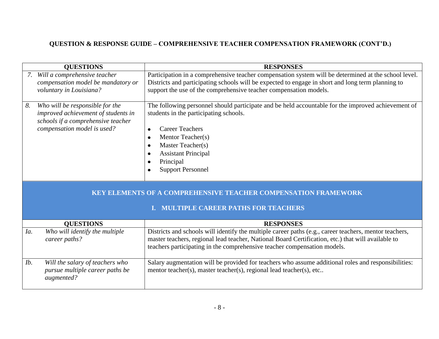| <b>QUESTIONS</b>                                                                                                                                  | <b>RESPONSES</b>                                                                                                                                                                                                                                                                                                                            |
|---------------------------------------------------------------------------------------------------------------------------------------------------|---------------------------------------------------------------------------------------------------------------------------------------------------------------------------------------------------------------------------------------------------------------------------------------------------------------------------------------------|
| Will a comprehensive teacher<br>compensation model be mandatory or<br>voluntary in Louisiana?                                                     | Participation in a comprehensive teacher compensation system will be determined at the school level.<br>Districts and participating schools will be expected to engage in short and long term planning to<br>support the use of the comprehensive teacher compensation models.                                                              |
| Who will be responsible for the<br>8.<br>improved achievement of students in<br>schools if a comprehensive teacher<br>compensation model is used? | The following personnel should participate and be held accountable for the improved achievement of<br>students in the participating schools.<br><b>Career Teachers</b><br>$\bullet$<br>Mentor Teacher(s)<br>$\bullet$<br>Master Teacher(s)<br>$\bullet$<br><b>Assistant Principal</b><br>Principal<br><b>Support Personnel</b><br>$\bullet$ |
|                                                                                                                                                   | <b>KEY ELEMENTS OF A COMPREHENSIVE TEACHER COMPENSATION FRAMEWORK</b><br><b>MULTIPLE CAREER PATHS FOR TEACHERS</b>                                                                                                                                                                                                                          |
|                                                                                                                                                   |                                                                                                                                                                                                                                                                                                                                             |
| <b>QUESTIONS</b>                                                                                                                                  | <b>RESPONSES</b>                                                                                                                                                                                                                                                                                                                            |
| Who will identify the multiple<br>Ia.<br>career paths?                                                                                            | Districts and schools will identify the multiple career paths (e.g., career teachers, mentor teachers,<br>master teachers, regional lead teacher, National Board Certification, etc.) that will available to<br>teachers participating in the comprehensive teacher compensation models.                                                    |
| Will the salary of teachers who<br>Ib.<br>pursue multiple career paths be<br>augmented?                                                           | Salary augmentation will be provided for teachers who assume additional roles and responsibilities:<br>mentor teacher(s), master teacher(s), regional lead teacher(s), etc                                                                                                                                                                  |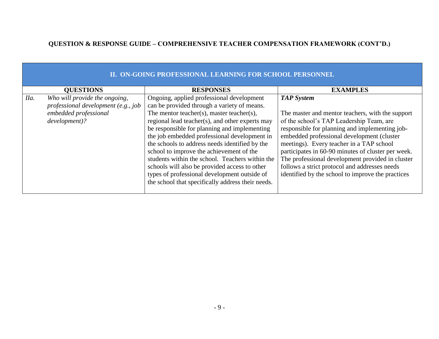|      | II. ON-GOING PROFESSIONAL LEARNING FOR SCHOOL PERSONNEL |                                                   |                                                    |  |  |
|------|---------------------------------------------------------|---------------------------------------------------|----------------------------------------------------|--|--|
|      | <b>QUESTIONS</b>                                        | <b>RESPONSES</b>                                  | <b>EXAMPLES</b>                                    |  |  |
| IIa. | Who will provide the ongoing,                           | Ongoing, applied professional development         | <b>TAP System</b>                                  |  |  |
|      | professional development (e.g., job                     | can be provided through a variety of means.       |                                                    |  |  |
|      | embedded professional                                   | The mentor teacher(s), master teacher(s),         | The master and mentor teachers, with the support   |  |  |
|      | development)?                                           | regional lead teacher(s), and other experts may   | of the school's TAP Leadership Team, are           |  |  |
|      |                                                         | be responsible for planning and implementing      | responsible for planning and implementing job-     |  |  |
|      |                                                         | the job embedded professional development in      | embedded professional development (cluster         |  |  |
|      |                                                         | the schools to address needs identified by the    | meetings). Every teacher in a TAP school           |  |  |
|      |                                                         | school to improve the achievement of the          | participates in 60-90 minutes of cluster per week. |  |  |
|      |                                                         | students within the school. Teachers within the   | The professional development provided in cluster   |  |  |
|      |                                                         | schools will also be provided access to other     | follows a strict protocol and addresses needs      |  |  |
|      |                                                         | types of professional development outside of      | identified by the school to improve the practices  |  |  |
|      |                                                         | the school that specifically address their needs. |                                                    |  |  |
|      |                                                         |                                                   |                                                    |  |  |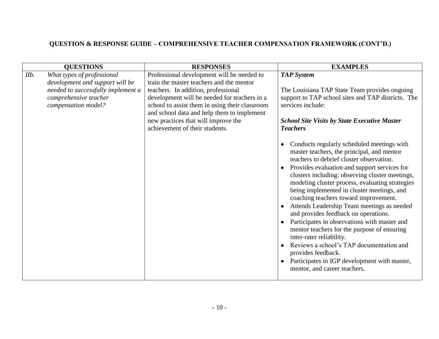| <b>EXAMPLES</b><br><b>QUESTIONS</b><br><b>RESPONSES</b>                                                                                                                                                                                                                                                                                                                                                                                                                                                                                                                                                                                                                                                                                                                                                                                                                                                                                                                                                                                                                                                                                                                                                                                                                                                                                                                                                                                                                                                               |
|-----------------------------------------------------------------------------------------------------------------------------------------------------------------------------------------------------------------------------------------------------------------------------------------------------------------------------------------------------------------------------------------------------------------------------------------------------------------------------------------------------------------------------------------------------------------------------------------------------------------------------------------------------------------------------------------------------------------------------------------------------------------------------------------------------------------------------------------------------------------------------------------------------------------------------------------------------------------------------------------------------------------------------------------------------------------------------------------------------------------------------------------------------------------------------------------------------------------------------------------------------------------------------------------------------------------------------------------------------------------------------------------------------------------------------------------------------------------------------------------------------------------------|
| IIb.<br>What types of professional<br>Professional development will be needed to<br><b>TAP</b> System<br>train the master teachers and the mentor<br>development and support will be<br>needed to successfully implement a<br>teachers. In addition, professional<br>The Louisiana TAP State Team provides ongoing<br>comprehensive teacher<br>development will be needed for teachers in a<br>support to TAP school sites and TAP districts. The<br>school to assist them in using their classroom<br>compensation model?<br>services include:<br>and school data and help them to implement<br>new practices that will improve the<br><b>School Site Visits by State Executive Master</b><br>achievement of their students.<br><b>Teachers</b><br>Conducts regularly scheduled meetings with<br>master teachers, the principal, and mentor<br>teachers to debrief cluster observation.<br>Provides evaluation and support services for<br>clusters including: observing cluster meetings,<br>modeling cluster process, evaluating strategies<br>being implemented in cluster meetings, and<br>coaching teachers toward improvement.<br>Attends Leadership Team meetings as needed<br>$\bullet$<br>and provides feedback on operations.<br>Participates in observations with master and<br>mentor teachers for the purpose of ensuring<br>inter-rater reliability.<br>Reviews a school's TAP documentation and<br>provides feedback.<br>Participates in IGP development with master,<br>mentor, and career teachers. |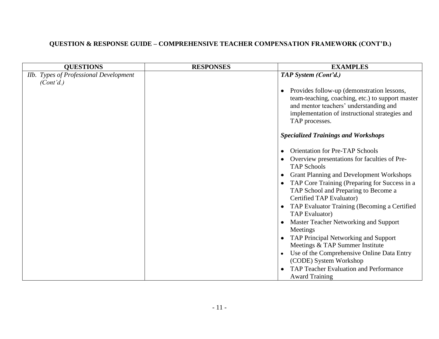| <b>QUESTIONS</b>                                    | <b>RESPONSES</b> | <b>EXAMPLES</b>                                                                                                                                                                                                                                                                                                                                                                                                                                                        |
|-----------------------------------------------------|------------------|------------------------------------------------------------------------------------------------------------------------------------------------------------------------------------------------------------------------------------------------------------------------------------------------------------------------------------------------------------------------------------------------------------------------------------------------------------------------|
| Ilb. Types of Professional Development<br>(Cont'd.) |                  | TAP System (Cont'd.)                                                                                                                                                                                                                                                                                                                                                                                                                                                   |
|                                                     |                  | Provides follow-up (demonstration lessons,<br>$\bullet$<br>team-teaching, coaching, etc.) to support master<br>and mentor teachers' understanding and<br>implementation of instructional strategies and<br>TAP processes.                                                                                                                                                                                                                                              |
|                                                     |                  | <b>Specialized Trainings and Workshops</b>                                                                                                                                                                                                                                                                                                                                                                                                                             |
|                                                     |                  | <b>Orientation for Pre-TAP Schools</b><br>$\bullet$<br>Overview presentations for faculties of Pre-<br><b>TAP Schools</b><br><b>Grant Planning and Development Workshops</b><br>$\bullet$<br>TAP Core Training (Preparing for Success in a<br>$\bullet$<br>TAP School and Preparing to Become a<br>Certified TAP Evaluator)<br>TAP Evaluator Training (Becoming a Certified<br>$\bullet$<br><b>TAP</b> Evaluator)<br>Master Teacher Networking and Support<br>Meetings |
|                                                     |                  | TAP Principal Networking and Support<br>Meetings & TAP Summer Institute<br>Use of the Comprehensive Online Data Entry<br>$\bullet$<br>(CODE) System Workshop<br>TAP Teacher Evaluation and Performance<br><b>Award Training</b>                                                                                                                                                                                                                                        |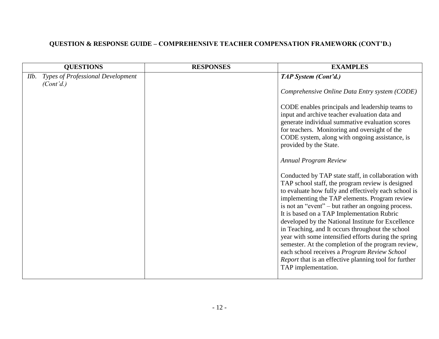| <b>QUESTIONS</b>                                       | <b>RESPONSES</b> | <b>EXAMPLES</b>                                                                                                                                                                                                                                                                                                                                                                                                                                                                                                                      |
|--------------------------------------------------------|------------------|--------------------------------------------------------------------------------------------------------------------------------------------------------------------------------------------------------------------------------------------------------------------------------------------------------------------------------------------------------------------------------------------------------------------------------------------------------------------------------------------------------------------------------------|
| Types of Professional Development<br>Ilb.<br>(Cont'd.) |                  | TAP System (Cont'd.)                                                                                                                                                                                                                                                                                                                                                                                                                                                                                                                 |
|                                                        |                  | Comprehensive Online Data Entry system (CODE)                                                                                                                                                                                                                                                                                                                                                                                                                                                                                        |
|                                                        |                  | CODE enables principals and leadership teams to<br>input and archive teacher evaluation data and<br>generate individual summative evaluation scores<br>for teachers. Monitoring and oversight of the<br>CODE system, along with ongoing assistance, is<br>provided by the State.<br><b>Annual Program Review</b><br>Conducted by TAP state staff, in collaboration with<br>TAP school staff, the program review is designed<br>to evaluate how fully and effectively each school is<br>implementing the TAP elements. Program review |
|                                                        |                  | is not an "event" – but rather an ongoing process.<br>It is based on a TAP Implementation Rubric<br>developed by the National Institute for Excellence                                                                                                                                                                                                                                                                                                                                                                               |
|                                                        |                  | in Teaching, and It occurs throughout the school<br>year with some intensified efforts during the spring<br>semester. At the completion of the program review,<br>each school receives a Program Review School<br>Report that is an effective planning tool for further<br>TAP implementation.                                                                                                                                                                                                                                       |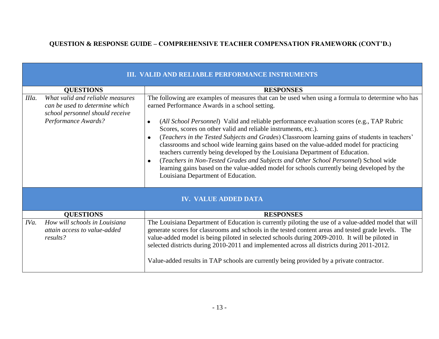|       | III. VALID AND RELIABLE PERFORMANCE INSTRUMENTS                                                                              |                                                                                                                                                                                                                                                                                                                                                                                                                                                                                                                                                                                                                                                                                                                                                                                                                                                                   |  |  |  |
|-------|------------------------------------------------------------------------------------------------------------------------------|-------------------------------------------------------------------------------------------------------------------------------------------------------------------------------------------------------------------------------------------------------------------------------------------------------------------------------------------------------------------------------------------------------------------------------------------------------------------------------------------------------------------------------------------------------------------------------------------------------------------------------------------------------------------------------------------------------------------------------------------------------------------------------------------------------------------------------------------------------------------|--|--|--|
|       | <b>QUESTIONS</b>                                                                                                             | <b>RESPONSES</b>                                                                                                                                                                                                                                                                                                                                                                                                                                                                                                                                                                                                                                                                                                                                                                                                                                                  |  |  |  |
| IIIa. | What valid and reliable measures<br>can be used to determine which<br>school personnel should receive<br>Performance Awards? | The following are examples of measures that can be used when using a formula to determine who has<br>earned Performance Awards in a school setting.<br>(All School Personnel) Valid and reliable performance evaluation scores (e.g., TAP Rubric<br>$\bullet$<br>Scores, scores on other valid and reliable instruments, etc.).<br>(Teachers in the Tested Subjects and Grades) Classroom learning gains of students in teachers'<br>$\bullet$<br>classrooms and school wide learning gains based on the value-added model for practicing<br>teachers currently being developed by the Louisiana Department of Education.<br>(Teachers in Non-Tested Grades and Subjects and Other School Personnel) School wide<br>$\bullet$<br>learning gains based on the value-added model for schools currently being developed by the<br>Louisiana Department of Education. |  |  |  |
|       |                                                                                                                              | <b>IV. VALUE ADDED DATA</b>                                                                                                                                                                                                                                                                                                                                                                                                                                                                                                                                                                                                                                                                                                                                                                                                                                       |  |  |  |
|       | <b>QUESTIONS</b>                                                                                                             | <b>RESPONSES</b>                                                                                                                                                                                                                                                                                                                                                                                                                                                                                                                                                                                                                                                                                                                                                                                                                                                  |  |  |  |
| IVa.  | How will schools in Louisiana<br>attain access to value-added<br>results?                                                    | The Louisiana Department of Education is currently piloting the use of a value-added model that will<br>generate scores for classrooms and schools in the tested content areas and tested grade levels. The<br>value-added model is being piloted in selected schools during 2009-2010. It will be piloted in<br>selected districts during 2010-2011 and implemented across all districts during 2011-2012.<br>Value-added results in TAP schools are currently being provided by a private contractor.                                                                                                                                                                                                                                                                                                                                                           |  |  |  |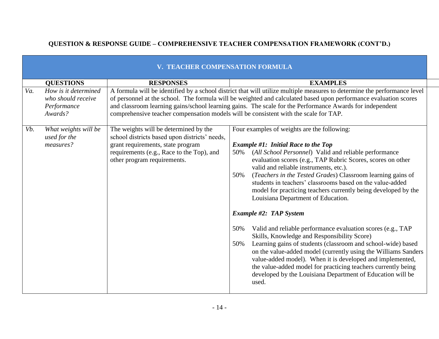|     | <b>TEACHER COMPENSATION FORMULA</b>                                  |                                                                                                                                                                                                         |                                                                                                                                                                                                                                                                                                                                                                                                                                                                                                                                                                                                                                                                                                                                                                                                                                                                                                                                                                                                                   |  |
|-----|----------------------------------------------------------------------|---------------------------------------------------------------------------------------------------------------------------------------------------------------------------------------------------------|-------------------------------------------------------------------------------------------------------------------------------------------------------------------------------------------------------------------------------------------------------------------------------------------------------------------------------------------------------------------------------------------------------------------------------------------------------------------------------------------------------------------------------------------------------------------------------------------------------------------------------------------------------------------------------------------------------------------------------------------------------------------------------------------------------------------------------------------------------------------------------------------------------------------------------------------------------------------------------------------------------------------|--|
|     | <b>QUESTIONS</b>                                                     | <b>RESPONSES</b>                                                                                                                                                                                        | <b>EXAMPLES</b>                                                                                                                                                                                                                                                                                                                                                                                                                                                                                                                                                                                                                                                                                                                                                                                                                                                                                                                                                                                                   |  |
| Va. | How is it determined<br>who should receive<br>Performance<br>Awards? | comprehensive teacher compensation models will be consistent with the scale for TAP.                                                                                                                    | A formula will be identified by a school district that will utilize multiple measures to determine the performance level<br>of personnel at the school. The formula will be weighted and calculated based upon performance evaluation scores<br>and classroom learning gains/school learning gains. The scale for the Performance Awards for independent                                                                                                                                                                                                                                                                                                                                                                                                                                                                                                                                                                                                                                                          |  |
| Vb. | What weights will be<br>used for the<br>measures?                    | The weights will be determined by the<br>school districts based upon districts' needs,<br>grant requirements, state program<br>requirements (e.g., Race to the Top), and<br>other program requirements. | Four examples of weights are the following:<br><b>Example #1: Initial Race to the Top</b><br>(All School Personnel) Valid and reliable performance<br>50%<br>evaluation scores (e.g., TAP Rubric Scores, scores on other<br>valid and reliable instruments, etc.).<br>(Teachers in the Tested Grades) Classroom learning gains of<br>50%<br>students in teachers' classrooms based on the value-added<br>model for practicing teachers currently being developed by the<br>Louisiana Department of Education.<br><b>Example #2: TAP System</b><br>Valid and reliable performance evaluation scores (e.g., TAP<br>50%<br>Skills, Knowledge and Responsibility Score)<br>Learning gains of students (classroom and school-wide) based<br>50%<br>on the value-added model (currently using the Williams Sanders<br>value-added model). When it is developed and implemented,<br>the value-added model for practicing teachers currently being<br>developed by the Louisiana Department of Education will be<br>used. |  |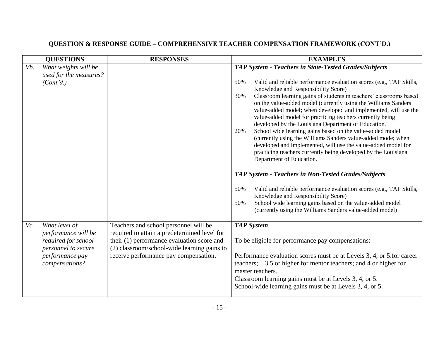|     | <b>QUESTIONS</b>                                                                                       | <b>RESPONSES</b>                                                                                                                                                                   | <b>EXAMPLES</b>                                                                                                                                                                                                                                                                                                                                                                                                                                                                                                                                                                                                                                                                                                                                            |
|-----|--------------------------------------------------------------------------------------------------------|------------------------------------------------------------------------------------------------------------------------------------------------------------------------------------|------------------------------------------------------------------------------------------------------------------------------------------------------------------------------------------------------------------------------------------------------------------------------------------------------------------------------------------------------------------------------------------------------------------------------------------------------------------------------------------------------------------------------------------------------------------------------------------------------------------------------------------------------------------------------------------------------------------------------------------------------------|
| Vb. | What weights will be                                                                                   |                                                                                                                                                                                    | <b>TAP System - Teachers in State-Tested Grades/Subjects</b>                                                                                                                                                                                                                                                                                                                                                                                                                                                                                                                                                                                                                                                                                               |
|     | used for the measures?<br>(Cont'd.)                                                                    |                                                                                                                                                                                    | 50%<br>Valid and reliable performance evaluation scores (e.g., TAP Skills,<br>Knowledge and Responsibility Score)<br>Classroom learning gains of students in teachers' classrooms based<br>30%<br>on the value-added model (currently using the Williams Sanders<br>value-added model; when developed and implemented, will use the<br>value-added model for practicing teachers currently being<br>developed by the Louisiana Department of Education.<br>School wide learning gains based on the value-added model<br>20%<br>(currently using the Williams Sanders value-added mode; when<br>developed and implemented, will use the value-added model for<br>practicing teachers currently being developed by the Louisiana<br>Department of Education. |
|     |                                                                                                        |                                                                                                                                                                                    | <b>TAP System - Teachers in Non-Tested Grades/Subjects</b>                                                                                                                                                                                                                                                                                                                                                                                                                                                                                                                                                                                                                                                                                                 |
|     |                                                                                                        |                                                                                                                                                                                    | Valid and reliable performance evaluation scores (e.g., TAP Skills,<br>50%<br>Knowledge and Responsibility Score)<br>School wide learning gains based on the value-added model<br>50%<br>(currently using the Williams Sanders value-added model)                                                                                                                                                                                                                                                                                                                                                                                                                                                                                                          |
| Vc. | What level of                                                                                          | Teachers and school personnel will be                                                                                                                                              | <b>TAP System</b>                                                                                                                                                                                                                                                                                                                                                                                                                                                                                                                                                                                                                                                                                                                                          |
|     | performance will be<br>required for school<br>personnel to secure<br>performance pay<br>compensations? | required to attain a predetermined level for<br>their (1) performance evaluation score and<br>(2) classroom/school-wide learning gains to<br>receive performance pay compensation. | To be eligible for performance pay compensations:<br>Performance evaluation scores must be at Levels 3, 4, or 5 for career<br>teachers; 3.5 or higher for mentor teachers; and 4 or higher for<br>master teachers.<br>Classroom learning gains must be at Levels 3, 4, or 5.<br>School-wide learning gains must be at Levels 3, 4, or 5.                                                                                                                                                                                                                                                                                                                                                                                                                   |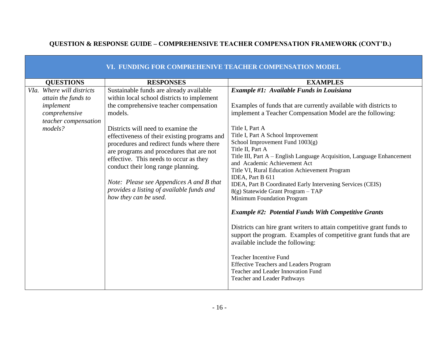|                                                                                                                   | VI. FUNDING FOR COMPREHENIVE TEACHER COMPENSATION MODEL                                                                                                                                                                                                                                                                                                                                                                                                                                                                     |                                                                                                                                                                                                                                                                                                                                                                                                                                                                                                                                                                                                                                                                                                                                                                                                                                                                                                                                                                                                                            |
|-------------------------------------------------------------------------------------------------------------------|-----------------------------------------------------------------------------------------------------------------------------------------------------------------------------------------------------------------------------------------------------------------------------------------------------------------------------------------------------------------------------------------------------------------------------------------------------------------------------------------------------------------------------|----------------------------------------------------------------------------------------------------------------------------------------------------------------------------------------------------------------------------------------------------------------------------------------------------------------------------------------------------------------------------------------------------------------------------------------------------------------------------------------------------------------------------------------------------------------------------------------------------------------------------------------------------------------------------------------------------------------------------------------------------------------------------------------------------------------------------------------------------------------------------------------------------------------------------------------------------------------------------------------------------------------------------|
| <b>QUESTIONS</b>                                                                                                  | <b>RESPONSES</b>                                                                                                                                                                                                                                                                                                                                                                                                                                                                                                            | <b>EXAMPLES</b>                                                                                                                                                                                                                                                                                                                                                                                                                                                                                                                                                                                                                                                                                                                                                                                                                                                                                                                                                                                                            |
| VIa. Where will districts<br>attain the funds to<br>implement<br>comprehensive<br>teacher compensation<br>models? | Sustainable funds are already available<br>within local school districts to implement<br>the comprehensive teacher compensation<br>models.<br>Districts will need to examine the<br>effectiveness of their existing programs and<br>procedures and redirect funds where there<br>are programs and procedures that are not<br>effective. This needs to occur as they<br>conduct their long range planning.<br>Note: Please see Appendices A and B that<br>provides a listing of available funds and<br>how they can be used. | Example #1: Available Funds in Louisiana<br>Examples of funds that are currently available with districts to<br>implement a Teacher Compensation Model are the following:<br>Title I, Part A<br>Title I, Part A School Improvement<br>School Improvement Fund $1003(g)$<br>Title II, Part A<br>Title III, Part A – English Language Acquisition, Language Enhancement<br>and Academic Achievement Act<br>Title VI, Rural Education Achievement Program<br>IDEA, Part B 611<br>IDEA, Part B Coordinated Early Intervening Services (CEIS)<br>8(g) Statewide Grant Program - TAP<br>Minimum Foundation Program<br><b>Example #2: Potential Funds With Competitive Grants</b><br>Districts can hire grant writers to attain competitive grant funds to<br>support the program. Examples of competitive grant funds that are<br>available include the following:<br><b>Teacher Incentive Fund</b><br><b>Effective Teachers and Leaders Program</b><br>Teacher and Leader Innovation Fund<br><b>Teacher and Leader Pathways</b> |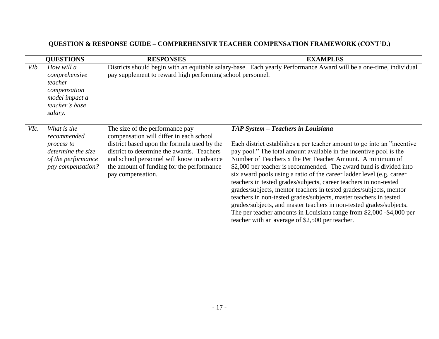|                   | <b>QUESTIONS</b>                                                                                          | <b>RESPONSES</b>                                                                                                                                                                                                                                                                       | <b>EXAMPLES</b>                                                                                                                                                                                                                                                                                                                                                                                                                                                                                                                                                                                                                                                                                                                                                                                                    |
|-------------------|-----------------------------------------------------------------------------------------------------------|----------------------------------------------------------------------------------------------------------------------------------------------------------------------------------------------------------------------------------------------------------------------------------------|--------------------------------------------------------------------------------------------------------------------------------------------------------------------------------------------------------------------------------------------------------------------------------------------------------------------------------------------------------------------------------------------------------------------------------------------------------------------------------------------------------------------------------------------------------------------------------------------------------------------------------------------------------------------------------------------------------------------------------------------------------------------------------------------------------------------|
| VI <sub>b</sub> . | How will a<br>comprehensive<br>teacher<br>compensation<br>model impact a<br>teacher's base<br>salary.     | pay supplement to reward high performing school personnel.                                                                                                                                                                                                                             | Districts should begin with an equitable salary-base. Each yearly Performance Award will be a one-time, individual                                                                                                                                                                                                                                                                                                                                                                                                                                                                                                                                                                                                                                                                                                 |
| VIc.              | What is the<br>recommended<br>process to<br>determine the size<br>of the performance<br>pay compensation? | The size of the performance pay<br>compensation will differ in each school<br>district based upon the formula used by the<br>district to determine the awards. Teachers<br>and school personnel will know in advance<br>the amount of funding for the performance<br>pay compensation. | TAP System - Teachers in Louisiana<br>Each district establishes a per teacher amount to go into an "incentive"<br>pay pool." The total amount available in the incentive pool is the<br>Number of Teachers x the Per Teacher Amount. A minimum of<br>\$2,000 per teacher is recommended. The award fund is divided into<br>six award pools using a ratio of the career ladder level (e.g. career<br>teachers in tested grades/subjects, career teachers in non-tested<br>grades/subjects, mentor teachers in tested grades/subjects, mentor<br>teachers in non-tested grades/subjects, master teachers in tested<br>grades/subjects, and master teachers in non-tested grades/subjects.<br>The per teacher amounts in Louisiana range from \$2,000 -\$4,000 per<br>teacher with an average of \$2,500 per teacher. |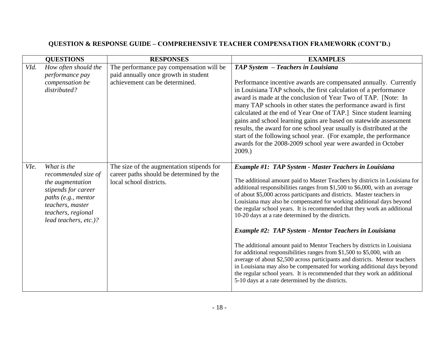|      | <b>QUESTIONS</b>                                                                                                                                                        | <b>RESPONSES</b>                                                                                                   | <b>EXAMPLES</b>                                                                                                                                                                                                                                                                                                                                                                                                                                                                                                                                                                                                                                                                                                                                                                                                                                                                                                                                                                                                           |
|------|-------------------------------------------------------------------------------------------------------------------------------------------------------------------------|--------------------------------------------------------------------------------------------------------------------|---------------------------------------------------------------------------------------------------------------------------------------------------------------------------------------------------------------------------------------------------------------------------------------------------------------------------------------------------------------------------------------------------------------------------------------------------------------------------------------------------------------------------------------------------------------------------------------------------------------------------------------------------------------------------------------------------------------------------------------------------------------------------------------------------------------------------------------------------------------------------------------------------------------------------------------------------------------------------------------------------------------------------|
| VId. | How often should the<br>performance pay<br>compensation be<br>distributed?                                                                                              | The performance pay compensation will be<br>paid annually once growth in student<br>achievement can be determined. | TAP System - Teachers in Louisiana<br>Performance incentive awards are compensated annually. Currently<br>in Louisiana TAP schools, the first calculation of a performance<br>award is made at the conclusion of Year Two of TAP. [Note: In<br>many TAP schools in other states the performance award is first<br>calculated at the end of Year One of TAP.] Since student learning<br>gains and school learning gains are based on statewide assessment<br>results, the award for one school year usually is distributed at the<br>start of the following school year. (For example, the performance<br>awards for the 2008-2009 school year were awarded in October<br>2009.                                                                                                                                                                                                                                                                                                                                            |
| VIe. | What is the<br>recommended size of<br>the augmentation<br>stipends for career<br>paths (e.g., mentor<br>teachers, master<br>teachers, regional<br>lead teachers, etc.)? | The size of the augmentation stipends for<br>career paths should be determined by the<br>local school districts.   | Example #1: TAP System - Master Teachers in Louisiana<br>The additional amount paid to Master Teachers by districts in Louisiana for<br>additional responsibilities ranges from \$1,500 to \$6,000, with an average<br>of about \$5,000 across participants and districts. Master teachers in<br>Louisiana may also be compensated for working additional days beyond<br>the regular school years. It is recommended that they work an additional<br>10-20 days at a rate determined by the districts.<br><b>Example #2: TAP System - Mentor Teachers in Louisiana</b><br>The additional amount paid to Mentor Teachers by districts in Louisiana<br>for additional responsibilities ranges from $$1,500$ to $$5,000$ , with an<br>average of about \$2,500 across participants and districts. Mentor teachers<br>in Louisiana may also be compensated for working additional days beyond<br>the regular school years. It is recommended that they work an additional<br>5-10 days at a rate determined by the districts. |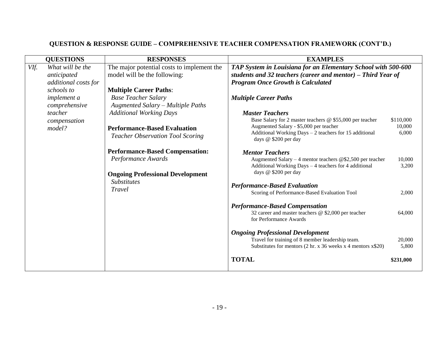| <b>QUESTIONS</b> |                        | <b>RESPONSES</b>                                                               | <b>EXAMPLES</b>                                                                                                                                                                         |                              |
|------------------|------------------------|--------------------------------------------------------------------------------|-----------------------------------------------------------------------------------------------------------------------------------------------------------------------------------------|------------------------------|
| VIf.             | What will be the       | The major potential costs to implement the                                     | TAP System in Louisiana for an Elementary School with 500-600                                                                                                                           |                              |
|                  | anticipated            | model will be the following:                                                   | students and 32 teachers (career and mentor) $-$ Third Year of                                                                                                                          |                              |
|                  | additional costs for   |                                                                                | <b>Program Once Growth is Calculated</b>                                                                                                                                                |                              |
|                  | schools to             | <b>Multiple Career Paths:</b>                                                  |                                                                                                                                                                                         |                              |
|                  | <i>implement a</i>     | <b>Base Teacher Salary</b>                                                     | <b>Multiple Career Paths</b>                                                                                                                                                            |                              |
|                  | comprehensive          | Augmented Salary - Multiple Paths                                              |                                                                                                                                                                                         |                              |
|                  | teacher                | <b>Additional Working Days</b>                                                 | <b>Master Teachers</b>                                                                                                                                                                  |                              |
|                  | compensation<br>model? | <b>Performance-Based Evaluation</b><br><b>Teacher Observation Tool Scoring</b> | Base Salary for 2 master teachers @ \$55,000 per teacher<br>Augmented Salary - \$5,000 per teacher<br>Additional Working Days - 2 teachers for 15 additional<br>days @ \$200 per day    | \$110,000<br>10,000<br>6,000 |
|                  |                        | <b>Performance-Based Compensation:</b>                                         | <b>Mentor Teachers</b>                                                                                                                                                                  |                              |
|                  |                        | Performance Awards                                                             | Augmented Salary – 4 mentor teachers @\$2,500 per teacher                                                                                                                               | 10,000                       |
|                  |                        |                                                                                | Additional Working Days - 4 teachers for 4 additional                                                                                                                                   | 3,200                        |
|                  |                        | <b>Ongoing Professional Development</b>                                        | days @ \$200 per day                                                                                                                                                                    |                              |
|                  |                        | <b>Substitutes</b>                                                             |                                                                                                                                                                                         |                              |
|                  |                        | Travel                                                                         | <b>Performance-Based Evaluation</b>                                                                                                                                                     |                              |
|                  |                        |                                                                                | Scoring of Performance-Based Evaluation Tool                                                                                                                                            | 2,000                        |
|                  |                        |                                                                                | <b>Performance-Based Compensation</b>                                                                                                                                                   |                              |
|                  |                        |                                                                                | 32 career and master teachers @ \$2,000 per teacher                                                                                                                                     | 64,000                       |
|                  |                        |                                                                                | for Performance Awards                                                                                                                                                                  |                              |
|                  |                        |                                                                                | <b>Ongoing Professional Development</b><br>Travel for training of 8 member leadership team.<br>Substitutes for mentors $(2 \text{ hr. x } 36 \text{ weeks x } 4 \text{ mentions x$20})$ | 20,000<br>5,800              |
|                  |                        |                                                                                | <b>TOTAL</b>                                                                                                                                                                            | \$231,000                    |
|                  |                        |                                                                                |                                                                                                                                                                                         |                              |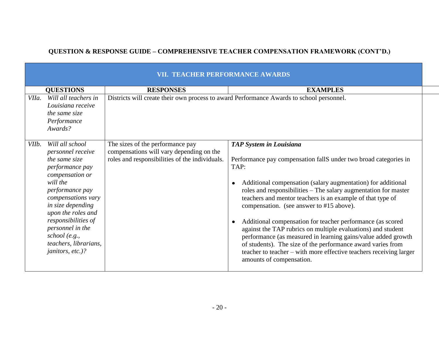|       |                                                                                                                                                                                                                                                                                                      | VII. TEACHER PERFORMANCE AWARDS                                                                                                |                                                                                                                                                                                                                                                                                                                                                                                                                                                                                                                                                                                                                                                                                                                                                   |
|-------|------------------------------------------------------------------------------------------------------------------------------------------------------------------------------------------------------------------------------------------------------------------------------------------------------|--------------------------------------------------------------------------------------------------------------------------------|---------------------------------------------------------------------------------------------------------------------------------------------------------------------------------------------------------------------------------------------------------------------------------------------------------------------------------------------------------------------------------------------------------------------------------------------------------------------------------------------------------------------------------------------------------------------------------------------------------------------------------------------------------------------------------------------------------------------------------------------------|
|       | <b>QUESTIONS</b>                                                                                                                                                                                                                                                                                     | <b>RESPONSES</b>                                                                                                               | <b>EXAMPLES</b>                                                                                                                                                                                                                                                                                                                                                                                                                                                                                                                                                                                                                                                                                                                                   |
| VIIa. | Will all teachers in<br>Louisiana receive<br>the same size<br>Performance<br>Awards?                                                                                                                                                                                                                 | Districts will create their own process to award Performance Awards to school personnel.                                       |                                                                                                                                                                                                                                                                                                                                                                                                                                                                                                                                                                                                                                                                                                                                                   |
| VIIb. | Will all school<br>personnel receive<br>the same size<br>performance pay<br>compensation or<br>will the<br>performance pay<br>compensations vary<br>in size depending<br>upon the roles and<br>responsibilities of<br>personnel in the<br>school (e.g.,<br>teachers, librarians,<br>janitors, etc.)? | The sizes of the performance pay<br>compensations will vary depending on the<br>roles and responsibilities of the individuals. | <b>TAP System in Louisiana</b><br>Performance pay compensation fallS under two broad categories in<br>TAP:<br>Additional compensation (salary augmentation) for additional<br>$\bullet$<br>roles and responsibilities - The salary augmentation for master<br>teachers and mentor teachers is an example of that type of<br>compensation. (see answer to #15 above).<br>Additional compensation for teacher performance (as scored<br>$\bullet$<br>against the TAP rubrics on multiple evaluations) and student<br>performance (as measured in learning gains/value added growth<br>of students). The size of the performance award varies from<br>teacher to teacher – with more effective teachers receiving larger<br>amounts of compensation. |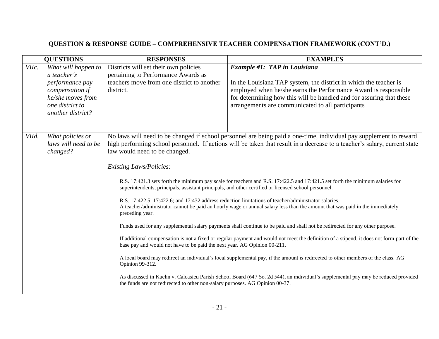| <b>QUESTIONS</b>                                                                                                                               | <b>RESPONSES</b>                                                                                                                                                                                                                                                                                                                                                          | <b>EXAMPLES</b>                                                                                                                                                                                                                                                                                                                                                                                                                                                                                                                                                                                                                                                                                                                                                                                                                                                                                                                                                                                                                                                                                                                                                                |
|------------------------------------------------------------------------------------------------------------------------------------------------|---------------------------------------------------------------------------------------------------------------------------------------------------------------------------------------------------------------------------------------------------------------------------------------------------------------------------------------------------------------------------|--------------------------------------------------------------------------------------------------------------------------------------------------------------------------------------------------------------------------------------------------------------------------------------------------------------------------------------------------------------------------------------------------------------------------------------------------------------------------------------------------------------------------------------------------------------------------------------------------------------------------------------------------------------------------------------------------------------------------------------------------------------------------------------------------------------------------------------------------------------------------------------------------------------------------------------------------------------------------------------------------------------------------------------------------------------------------------------------------------------------------------------------------------------------------------|
| VIIc.<br>What will happen to<br>a teacher's<br>performance pay<br>compensation if<br>he/she moves from<br>one district to<br>another district? | Districts will set their own policies<br>pertaining to Performance Awards as<br>teachers move from one district to another<br>district.                                                                                                                                                                                                                                   | <b>Example #1: TAP in Louisiana</b><br>In the Louisiana TAP system, the district in which the teacher is<br>employed when he/she earns the Performance Award is responsible<br>for determining how this will be handled and for assuring that these<br>arrangements are communicated to all participants                                                                                                                                                                                                                                                                                                                                                                                                                                                                                                                                                                                                                                                                                                                                                                                                                                                                       |
| VIId.<br>What policies or<br>laws will need to be<br>changed?                                                                                  | law would need to be changed.<br><b>Existing Laws/Policies:</b><br>superintendents, principals, assistant principals, and other certified or licensed school personnel.<br>preceding year.<br>base pay and would not have to be paid the next year. AG Opinion 00-211.<br>Opinion 99-312.<br>the funds are not redirected to other non-salary purposes. AG Opinion 00-37. | No laws will need to be changed if school personnel are being paid a one-time, individual pay supplement to reward<br>high performing school personnel. If actions will be taken that result in a decrease to a teacher's salary, current state<br>R.S. 17:421.3 sets forth the minimum pay scale for teachers and R.S. 17:422.5 and 17:421.5 set forth the minimum salaries for<br>R.S. 17:422.5; 17:422.6; and 17:432 address reduction limitations of teacher/administrator salaries.<br>A teacher/administrator cannot be paid an hourly wage or annual salary less than the amount that was paid in the immediately<br>Funds used for any supplemental salary payments shall continue to be paid and shall not be redirected for any other purpose.<br>If additional compensation is not a fixed or regular payment and would not meet the definition of a stipend, it does not form part of the<br>A local board may redirect an individual's local supplemental pay, if the amount is redirected to other members of the class. AG<br>As discussed in Kuehn v. Calcasieu Parish School Board (647 So. 2d 544), an individual's supplemental pay may be reduced provided |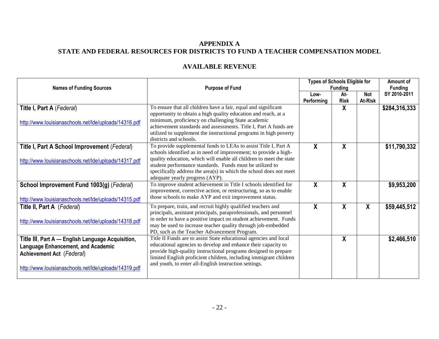#### **APPENDIX A STATE AND FEDERAL RESOURCES FOR DISTRICTS TO FUND A TEACHER COMPENSATION MODEL**

| <b>Names of Funding Sources</b>                                                                                                                                                             | <b>Purpose of Fund</b>                                                                                                                                                                                                                                                                                                                                                          | <b>Types of Schools Eligible for</b><br><b>Funding</b> |                    |                              | Amount of<br><b>Funding</b> |
|---------------------------------------------------------------------------------------------------------------------------------------------------------------------------------------------|---------------------------------------------------------------------------------------------------------------------------------------------------------------------------------------------------------------------------------------------------------------------------------------------------------------------------------------------------------------------------------|--------------------------------------------------------|--------------------|------------------------------|-----------------------------|
|                                                                                                                                                                                             |                                                                                                                                                                                                                                                                                                                                                                                 | Low-<br>Performing                                     | At-<br><b>Risk</b> | <b>Not</b><br><b>At-Risk</b> | SY 2010-2011                |
| Title I, Part A (Federal)<br>http://www.louisianaschools.net/Ide/uploads/14316.pdf                                                                                                          | To ensure that all children have a fair, equal and significant<br>opportunity to obtain a high quality education and reach, at a<br>minimum, proficiency on challenging State academic<br>achievement standards and assessments. Title I, Part A funds are<br>utilized to supplement the instructional programs in high poverty<br>districts and schools.                       |                                                        | X                  |                              | \$284,316,333               |
| Title I, Part A School Improvement (Federal)<br>http://www.louisianaschools.net/Ide/uploads/14317.pdf                                                                                       | To provide supplemental funds to LEAs to assist Title I, Part A<br>schools identified as in need of improvement; to provide a high-<br>quality education, which will enable all children to meet the state<br>student performance standards. Funds must be utilized to<br>specifically address the area(s) in which the school does not meet<br>adequate yearly progress (AYP). | $\mathbf{x}$                                           | $\mathsf{X}$       |                              | \$11,790,332                |
| School Improvement Fund 1003(g) (Federal)<br>http://www.louisianaschools.net/Ide/uploads/14315.pdf                                                                                          | To improve student achievement in Title I schools identified for<br>improvement, corrective action, or restructuring, so as to enable<br>those schools to make AYP and exit improvement status.                                                                                                                                                                                 | $\boldsymbol{X}$                                       | X                  |                              | \$9,953,200                 |
| Title II, Part A (Federal)<br>http://www.louisianaschools.net/Ide/uploads/14318.pdf                                                                                                         | To prepare, train, and recruit highly qualified teachers and<br>principals, assistant principals, paraprofessionals, and personnel<br>in order to have a positive impact on student achievement. Funds<br>may be used to increase teacher quality through job-embedded<br>PD, such as the Teacher Advancement Program.                                                          | $\boldsymbol{X}$                                       | X                  | X                            | \$59,445,512                |
| Title III, Part A - English Language Acquisition,<br><b>Language Enhancement, and Academic</b><br><b>Achievement Act</b> (Federal)<br>http://www.louisianaschools.net/Ide/uploads/14319.pdf | Title II Funds are to assist State educational agencies and local<br>educational agencies to develop and enhance their capacity to<br>provide high-quality instructional programs designed to prepare<br>limited English proficient children, including immigrant children<br>and youth, to enter all-English instruction settings.                                             |                                                        | X                  |                              | \$2,466,510                 |

## **AVAILABLE REVENUE**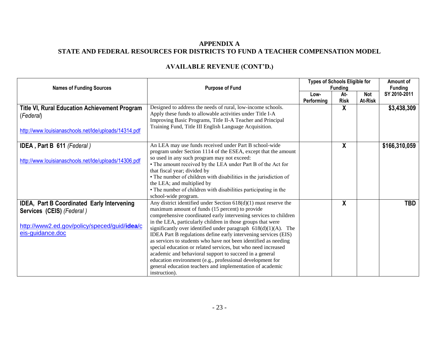#### **APPENDIX A STATE AND FEDERAL RESOURCES FOR DISTRICTS TO FUND A TEACHER COMPENSATION MODEL**

| <b>Names of Funding Sources</b>                                                                                                                           | <b>Purpose of Fund</b>                                                                                                                                                                                                                                                                                                                                                                                                                                                                                                                                                                                                                                                                                                                      | <b>Types of Schools Eligible for</b><br><b>Funding</b> |                    |                | Amount of<br><b>Funding</b> |
|-----------------------------------------------------------------------------------------------------------------------------------------------------------|---------------------------------------------------------------------------------------------------------------------------------------------------------------------------------------------------------------------------------------------------------------------------------------------------------------------------------------------------------------------------------------------------------------------------------------------------------------------------------------------------------------------------------------------------------------------------------------------------------------------------------------------------------------------------------------------------------------------------------------------|--------------------------------------------------------|--------------------|----------------|-----------------------------|
|                                                                                                                                                           |                                                                                                                                                                                                                                                                                                                                                                                                                                                                                                                                                                                                                                                                                                                                             | Low-<br>Performing                                     | At-<br><b>Risk</b> | Not<br>At-Risk | SY 2010-2011                |
| <b>Title VI, Rural Education Achievement Program</b><br>(Federal)<br>http://www.louisianaschools.net/Ide/uploads/14314.pdf                                | Designed to address the needs of rural, low-income schools.<br>Apply these funds to allowable activities under Title I-A<br>Improving Basic Programs, Title II-A Teacher and Principal<br>Training Fund, Title III English Language Acquisition.                                                                                                                                                                                                                                                                                                                                                                                                                                                                                            |                                                        | X                  |                | \$3,438,309                 |
| <b>IDEA</b> , Part B 611 (Federal)<br>http://www.louisianaschools.net/Ide/uploads/14306.pdf                                                               | An LEA may use funds received under Part B school-wide<br>program under Section 1114 of the ESEA, except that the amount<br>so used in any such program may not exceed:<br>• The amount received by the LEA under Part B of the Act for<br>that fiscal year; divided by<br>• The number of children with disabilities in the jurisdiction of<br>the LEA; and multiplied by<br>• The number of children with disabilities participating in the<br>school-wide program.                                                                                                                                                                                                                                                                       |                                                        | X                  |                | \$166,310,059               |
| <b>IDEA, Part B Coordinated Early Intervening</b><br><b>Services (CEIS)</b> (Federal)<br>http://www2.ed.gov/policy/speced/guid/idea/c<br>eis-guidance.doc | Any district identified under Section $618(d)(1)$ must reserve the<br>maximum amount of funds (15 percent) to provide<br>comprehensive coordinated early intervening services to children<br>in the LEA, particularly children in those groups that were<br>significantly over identified under paragraph $618(d)(1)(A)$ . The<br>IDEA Part B regulations define early intervening services (EIS)<br>as services to students who have not been identified as needing<br>special education or related services, but who need increased<br>academic and behavioral support to succeed in a general<br>education environment (e.g., professional development for<br>general education teachers and implementation of academic<br>instruction). |                                                        | χ                  |                | <b>TBD</b>                  |

# **AVAILABLE REVENUE (CONT'D.)**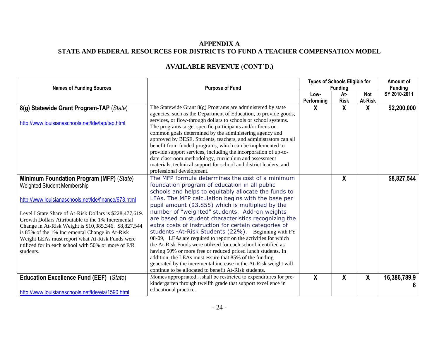## **APPENDIX A STATE AND FEDERAL RESOURCES FOR DISTRICTS TO FUND A TEACHER COMPENSATION MODEL**

| <b>Names of Funding Sources</b>                                                                                                                                                                                                                                                                                                                                                                                                                                                         | <b>Purpose of Fund</b>                                                                                                                                                                                                                                                                                                                                                                                                                                                                                                                                                                                                                                                                                                                                                                                                                                                                  | <b>Types of Schools Eligible for</b><br><b>Funding</b> |                    |                              | Amount of<br><b>Funding</b> |
|-----------------------------------------------------------------------------------------------------------------------------------------------------------------------------------------------------------------------------------------------------------------------------------------------------------------------------------------------------------------------------------------------------------------------------------------------------------------------------------------|-----------------------------------------------------------------------------------------------------------------------------------------------------------------------------------------------------------------------------------------------------------------------------------------------------------------------------------------------------------------------------------------------------------------------------------------------------------------------------------------------------------------------------------------------------------------------------------------------------------------------------------------------------------------------------------------------------------------------------------------------------------------------------------------------------------------------------------------------------------------------------------------|--------------------------------------------------------|--------------------|------------------------------|-----------------------------|
|                                                                                                                                                                                                                                                                                                                                                                                                                                                                                         |                                                                                                                                                                                                                                                                                                                                                                                                                                                                                                                                                                                                                                                                                                                                                                                                                                                                                         | Low-<br>Performing                                     | At-<br><b>Risk</b> | <b>Not</b><br><b>At-Risk</b> | SY 2010-2011                |
| 8(g) Statewide Grant Program-TAP (State)                                                                                                                                                                                                                                                                                                                                                                                                                                                | The Statewide Grant $8(g)$ Programs are administered by state<br>agencies, such as the Department of Education, to provide goods,                                                                                                                                                                                                                                                                                                                                                                                                                                                                                                                                                                                                                                                                                                                                                       | X                                                      | X                  | X                            | \$2,200,000                 |
| http://www.louisianaschools.net/Ide/tap/tap.html                                                                                                                                                                                                                                                                                                                                                                                                                                        | services, or flow-through dollars to schools or school systems.<br>The programs target specific participants and/or focus on<br>common goals determined by the administering agency and<br>approved by BESE. Students, teachers, and administrators can all<br>benefit from funded programs, which can be implemented to<br>provide support services, including the incorporation of up-to-<br>date classroom methodology, curriculum and assessment<br>materials, technical support for school and district leaders, and<br>professional development.                                                                                                                                                                                                                                                                                                                                  |                                                        |                    |                              |                             |
| Minimum Foundation Program (MFP) (State)<br>Weighted Student Membership<br>http://www.louisianaschools.net/Ide/finance/673.html<br>Level I State Share of At-Risk Dollars is \$228,477,619.<br>Growth Dollars Attributable to the 1% Incremental<br>Change in At-Risk Weight is \$10,385,346. \$8,827,544<br>is 85% of the 1% Incremental Change in At-Risk<br>Weight LEAs must report what At-Risk Funds were<br>utilized for in each school with $50\%$ or more of $F/R$<br>students. | The MFP formula determines the cost of a minimum<br>foundation program of education in all public<br>schools and helps to equitably allocate the funds to<br>LEAs. The MFP calculation begins with the base per<br>pupil amount (\$3,855) which is multiplied by the<br>number of "weighted" students. Add-on weights<br>are based on student characteristics recognizing the<br>extra costs of instruction for certain categories of<br>students - At-Risk Students (22%). Beginning with FY<br>08-09, LEAs are required to report on the activities for which<br>the At-Risk Funds were utilized for each school identified as<br>having 50% or more free or reduced priced lunch students. In<br>addition, the LEAs must essure that 85% of the funding<br>generated by the incremental increase in the At-Risk weight will<br>continue to be allocated to benefit At-Risk students. |                                                        | X                  |                              | \$8,827,544                 |
| Education Excellence Fund (EEF) (State)<br>http://www.louisianaschools.net/Ide/eia/1590.html                                                                                                                                                                                                                                                                                                                                                                                            | Monies appropriatedshall be restricted to expenditures for pre-<br>kindergarten through twelfth grade that support excellence in<br>educational practice.                                                                                                                                                                                                                                                                                                                                                                                                                                                                                                                                                                                                                                                                                                                               | $\overline{\mathbf{X}}$                                | X                  | X                            | 16,386,789.9                |
|                                                                                                                                                                                                                                                                                                                                                                                                                                                                                         |                                                                                                                                                                                                                                                                                                                                                                                                                                                                                                                                                                                                                                                                                                                                                                                                                                                                                         |                                                        |                    |                              |                             |

# **AVAILABLE REVENUE (CONT'D.)**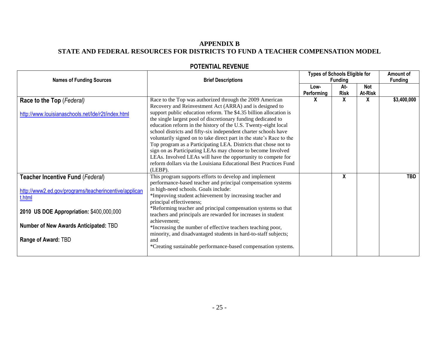#### **APPENDIX B STATE AND FEDERAL RESOURCES FOR DISTRICTS TO FUND A TEACHER COMPENSATION MODEL**

| <b>Names of Funding Sources</b>                                                                     | <b>Brief Descriptions</b>                                                                                                                                                                                                                                                                                                                                                                                                                                                                                                                                                                                                                                                                                                                               | <b>Types of Schools Eligible for</b><br><b>Funding</b> |                    |                       | Amount of<br><b>Funding</b> |
|-----------------------------------------------------------------------------------------------------|---------------------------------------------------------------------------------------------------------------------------------------------------------------------------------------------------------------------------------------------------------------------------------------------------------------------------------------------------------------------------------------------------------------------------------------------------------------------------------------------------------------------------------------------------------------------------------------------------------------------------------------------------------------------------------------------------------------------------------------------------------|--------------------------------------------------------|--------------------|-----------------------|-----------------------------|
|                                                                                                     |                                                                                                                                                                                                                                                                                                                                                                                                                                                                                                                                                                                                                                                                                                                                                         | Low-<br>Performing                                     | At-<br><b>Risk</b> | <b>Not</b><br>At-Risk |                             |
| Race to the Top (Federal)<br>http://www.louisianaschools.net/Ide/r2t/index.html                     | Race to the Top was authorized through the 2009 American<br>Recovery and Reinvestment Act (ARRA) and is designed to<br>support public education reform. The \$4.35 billion allocation is<br>the single largest pool of discretionary funding dedicated to<br>education reform in the history of the U.S. Twenty-eight local<br>school districts and fifty-six independent charter schools have<br>voluntarily signed on to take direct part in the state's Race to the<br>Top program as a Participating LEA. Districts that chose not to<br>sign on as Participating LEAs may choose to become Involved<br>LEAs. Involved LEAs will have the opportunity to compete for<br>reform dollars via the Louisiana Educational Best Practices Fund<br>(LEBP). | X                                                      | X                  | X                     | \$3,400,000                 |
| Teacher Incentive Fund (Federal)<br>http://www2.ed.gov/programs/teacherincentive/applican<br>t.html | This program supports efforts to develop and implement<br>performance-based teacher and principal compensation systems<br>in high-need schools. Goals include:<br>*Improving student achievement by increasing teacher and<br>principal effectiveness;                                                                                                                                                                                                                                                                                                                                                                                                                                                                                                  |                                                        | X                  |                       | <b>TBD</b>                  |
| 2010 US DOE Appropriation: \$400,000,000                                                            | *Reforming teacher and principal compensation systems so that<br>teachers and principals are rewarded for increases in student                                                                                                                                                                                                                                                                                                                                                                                                                                                                                                                                                                                                                          |                                                        |                    |                       |                             |
| <b>Number of New Awards Anticipated: TBD</b>                                                        | achievement:<br>*Increasing the number of effective teachers teaching poor,                                                                                                                                                                                                                                                                                                                                                                                                                                                                                                                                                                                                                                                                             |                                                        |                    |                       |                             |
| Range of Award: TBD                                                                                 | minority, and disadvantaged students in hard-to-staff subjects;<br>and<br>*Creating sustainable performance-based compensation systems.                                                                                                                                                                                                                                                                                                                                                                                                                                                                                                                                                                                                                 |                                                        |                    |                       |                             |

## **POTENTIAL REVENUE**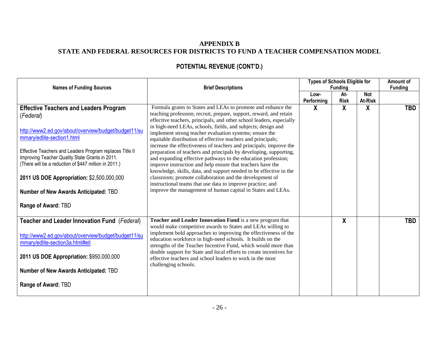### **APPENDIX B STATE AND FEDERAL RESOURCES FOR DISTRICTS TO FUND A TEACHER COMPENSATION MODEL**

| <b>Names of Funding Sources</b>                                                                                                                                                                                                                                                                                                                                                                                                        | <b>Brief Descriptions</b>                                                                                                                                                                                                                                                                                                                                                                                                                                                                                                                                                                                                                                                                                                                                                                                                                                                                                                                     | <b>Types of Schools Eligible for</b><br><b>Funding</b> |                    |                       | Amount of<br><b>Funding</b> |
|----------------------------------------------------------------------------------------------------------------------------------------------------------------------------------------------------------------------------------------------------------------------------------------------------------------------------------------------------------------------------------------------------------------------------------------|-----------------------------------------------------------------------------------------------------------------------------------------------------------------------------------------------------------------------------------------------------------------------------------------------------------------------------------------------------------------------------------------------------------------------------------------------------------------------------------------------------------------------------------------------------------------------------------------------------------------------------------------------------------------------------------------------------------------------------------------------------------------------------------------------------------------------------------------------------------------------------------------------------------------------------------------------|--------------------------------------------------------|--------------------|-----------------------|-----------------------------|
|                                                                                                                                                                                                                                                                                                                                                                                                                                        |                                                                                                                                                                                                                                                                                                                                                                                                                                                                                                                                                                                                                                                                                                                                                                                                                                                                                                                                               | Low-<br>Performing                                     | At-<br><b>Risk</b> | <b>Not</b><br>At-Risk |                             |
| <b>Effective Teachers and Leaders Program</b><br>(Federal)<br>http://www2.ed.gov/about/overview/budget/budget11/su<br>mmary/edlite-section1.html<br>Effective Teachers and Leaders Program replaces Title II<br>Improving Teacher Quality State Grants in 2011.<br>(There will be a reduction of \$447 million in 2011.)<br>2011 US DOE Appropriation: \$2,500,000,000<br>Number of New Awards Anticipated: TBD<br>Range of Award: TBD | Formula grants to States and LEAs to promote and enhance the<br>teaching profession; recruit, prepare, support, reward, and retain<br>effective teachers, principals, and other school leaders, especially<br>in high-need LEAs, schools, fields, and subjects; design and<br>implement strong teacher evaluation systems; ensure the<br>equitable distribution of effective teachers and principals;<br>increase the effectiveness of teachers and principals; improve the<br>preparation of teachers and principals by developing, supporting,<br>and expanding effective pathways to the education profession;<br>improve instruction and help ensure that teachers have the<br>knowledge, skills, data, and support needed to be effective in the<br>classroom; promote collaboration and the development of<br>instructional teams that use data to improve practice; and<br>improve the management of human capital in States and LEAs. | X                                                      | $\mathbf{x}$       | X                     | <b>TBD</b>                  |
| Teacher and Leader Innovation Fund (Federal)<br>http://www2.ed.gov/about/overview/budget/budget11/su<br>mmary/edlite-section3a.html#eit<br>2011 US DOE Appropriation: \$950,000,000<br><b>Number of New Awards Anticipated: TBD</b><br>Range of Award: TBD                                                                                                                                                                             | Teacher and Leader Innovation Fund is a new program that<br>would make competitive awards to States and LEAs willing to<br>implement bold approaches to improving the effectiveness of the<br>education workforce in high-need schools. It builds on the<br>strengths of the Teacher Incentive Fund, which would more than<br>double support for State and local efforts to create incentives for<br>effective teachers and school leaders to work in the most<br>challenging schools.                                                                                                                                                                                                                                                                                                                                                                                                                                                        |                                                        | χ                  |                       | <b>TBD</b>                  |

# **POTENTIAL REVENUE (CONT'D.)**